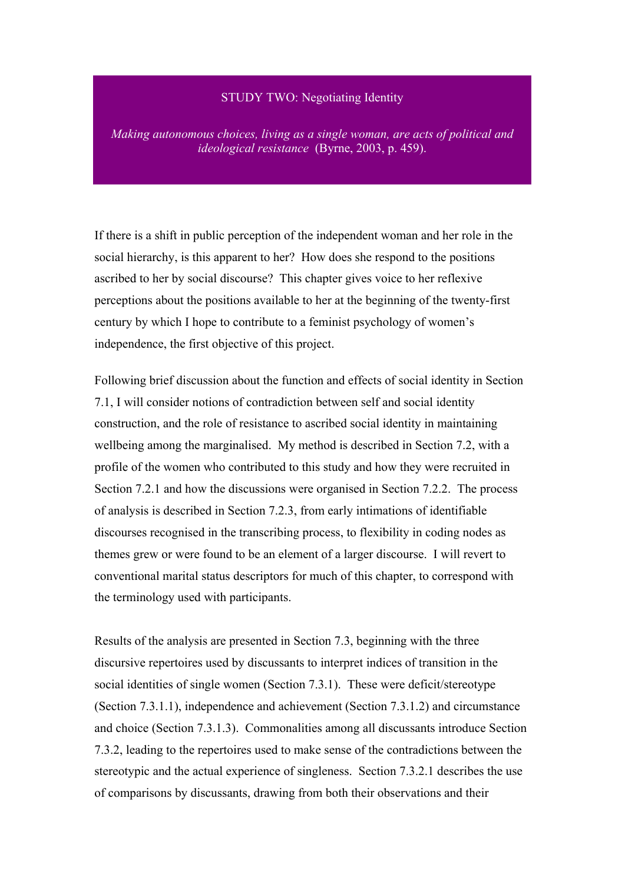# STUDY TWO: Negotiating Identity

*Making autonomous choices, living as a single woman, are acts of political and ideological resistance* (Byrne, 2003, p. 459).

If there is a shift in public perception of the independent woman and her role in the social hierarchy, is this apparent to her? How does she respond to the positions ascribed to her by social discourse? This chapter gives voice to her reflexive perceptions about the positions available to her at the beginning of the twenty-first century by which I hope to contribute to a feminist psychology of women's independence, the first objective of this project.

Following brief discussion about the function and effects of social identity in Section 7.1, I will consider notions of contradiction between self and social identity construction, and the role of resistance to ascribed social identity in maintaining wellbeing among the marginalised. My method is described in Section 7.2, with a profile of the women who contributed to this study and how they were recruited in Section 7.2.1 and how the discussions were organised in Section 7.2.2. The process of analysis is described in Section 7.2.3, from early intimations of identifiable discourses recognised in the transcribing process, to flexibility in coding nodes as themes grew or were found to be an element of a larger discourse. I will revert to conventional marital status descriptors for much of this chapter, to correspond with the terminology used with participants.

Results of the analysis are presented in Section 7.3, beginning with the three discursive repertoires used by discussants to interpret indices of transition in the social identities of single women (Section 7.3.1). These were deficit/stereotype (Section 7.3.1.1), independence and achievement (Section 7.3.1.2) and circumstance and choice (Section 7.3.1.3). Commonalities among all discussants introduce Section 7.3.2, leading to the repertoires used to make sense of the contradictions between the stereotypic and the actual experience of singleness. Section 7.3.2.1 describes the use of comparisons by discussants, drawing from both their observations and their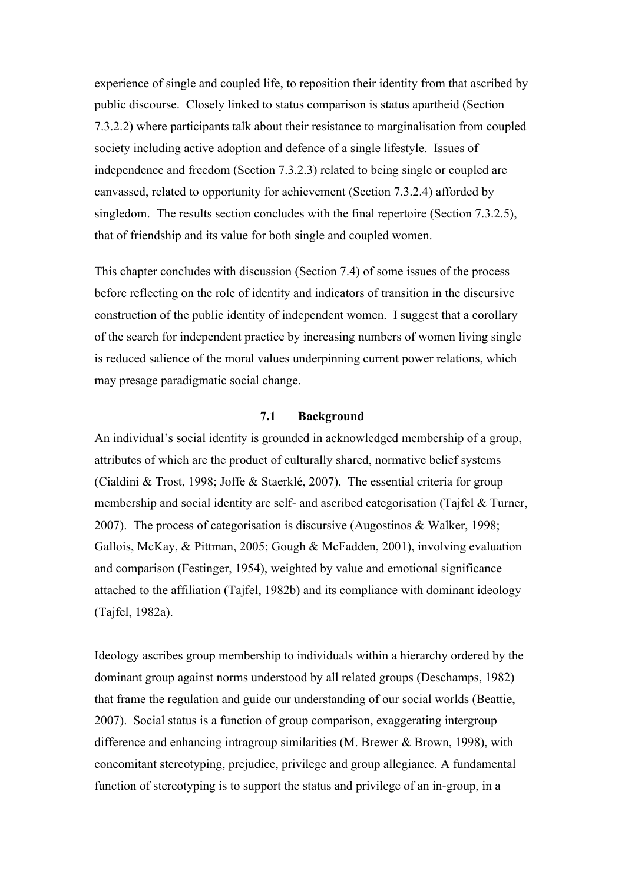experience of single and coupled life, to reposition their identity from that ascribed by public discourse. Closely linked to status comparison is status apartheid (Section 7.3.2.2) where participants talk about their resistance to marginalisation from coupled society including active adoption and defence of a single lifestyle. Issues of independence and freedom (Section 7.3.2.3) related to being single or coupled are canvassed, related to opportunity for achievement (Section 7.3.2.4) afforded by singledom. The results section concludes with the final repertoire (Section 7.3.2.5), that of friendship and its value for both single and coupled women.

This chapter concludes with discussion (Section 7.4) of some issues of the process before reflecting on the role of identity and indicators of transition in the discursive construction of the public identity of independent women. I suggest that a corollary of the search for independent practice by increasing numbers of women living single is reduced salience of the moral values underpinning current power relations, which may presage paradigmatic social change.

#### **7.1 Background**

An individual's social identity is grounded in acknowledged membership of a group, attributes of which are the product of culturally shared, normative belief systems (Cialdini & Trost, 1998; Joffe & Staerklé, 2007). The essential criteria for group membership and social identity are self- and ascribed categorisation (Tajfel & Turner, 2007). The process of categorisation is discursive (Augostinos & Walker, 1998; Gallois, McKay, & Pittman, 2005; Gough & McFadden, 2001), involving evaluation and comparison (Festinger, 1954), weighted by value and emotional significance attached to the affiliation (Tajfel, 1982b) and its compliance with dominant ideology (Tajfel, 1982a).

Ideology ascribes group membership to individuals within a hierarchy ordered by the dominant group against norms understood by all related groups (Deschamps, 1982) that frame the regulation and guide our understanding of our social worlds (Beattie, 2007). Social status is a function of group comparison, exaggerating intergroup difference and enhancing intragroup similarities (M. Brewer & Brown, 1998), with concomitant stereotyping, prejudice, privilege and group allegiance. A fundamental function of stereotyping is to support the status and privilege of an in-group, in a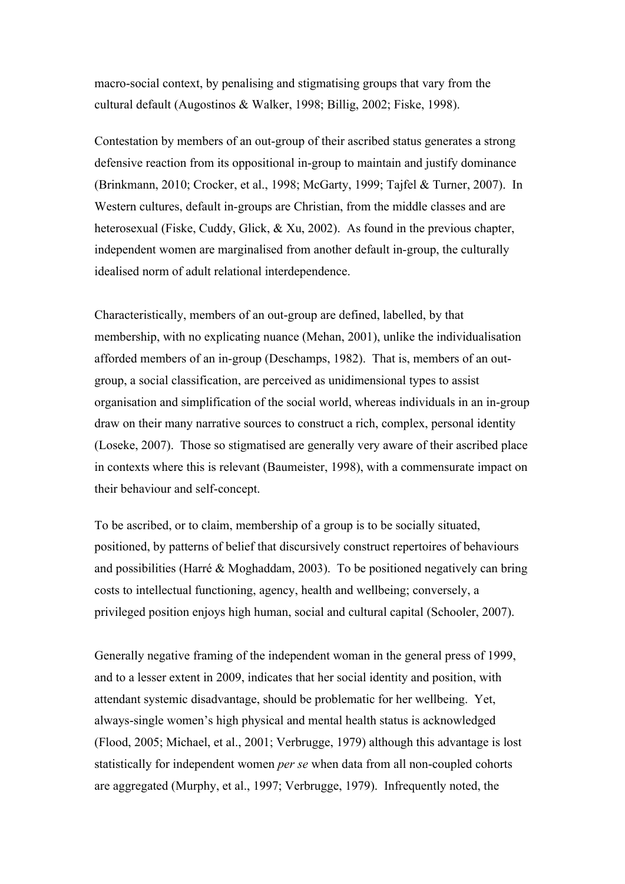macro-social context, by penalising and stigmatising groups that vary from the cultural default (Augostinos & Walker, 1998; Billig, 2002; Fiske, 1998).

Contestation by members of an out-group of their ascribed status generates a strong defensive reaction from its oppositional in-group to maintain and justify dominance (Brinkmann, 2010; Crocker, et al., 1998; McGarty, 1999; Tajfel & Turner, 2007). In Western cultures, default in-groups are Christian, from the middle classes and are heterosexual (Fiske, Cuddy, Glick, & Xu, 2002). As found in the previous chapter, independent women are marginalised from another default in-group, the culturally idealised norm of adult relational interdependence.

Characteristically, members of an out-group are defined, labelled, by that membership, with no explicating nuance (Mehan, 2001), unlike the individualisation afforded members of an in-group (Deschamps, 1982). That is, members of an outgroup, a social classification, are perceived as unidimensional types to assist organisation and simplification of the social world, whereas individuals in an in-group draw on their many narrative sources to construct a rich, complex, personal identity (Loseke, 2007). Those so stigmatised are generally very aware of their ascribed place in contexts where this is relevant (Baumeister, 1998), with a commensurate impact on their behaviour and self-concept.

To be ascribed, or to claim, membership of a group is to be socially situated, positioned, by patterns of belief that discursively construct repertoires of behaviours and possibilities (Harré & Moghaddam, 2003). To be positioned negatively can bring costs to intellectual functioning, agency, health and wellbeing; conversely, a privileged position enjoys high human, social and cultural capital (Schooler, 2007).

Generally negative framing of the independent woman in the general press of 1999, and to a lesser extent in 2009, indicates that her social identity and position, with attendant systemic disadvantage, should be problematic for her wellbeing. Yet, always-single women's high physical and mental health status is acknowledged (Flood, 2005; Michael, et al., 2001; Verbrugge, 1979) although this advantage is lost statistically for independent women *per se* when data from all non-coupled cohorts are aggregated (Murphy, et al., 1997; Verbrugge, 1979). Infrequently noted, the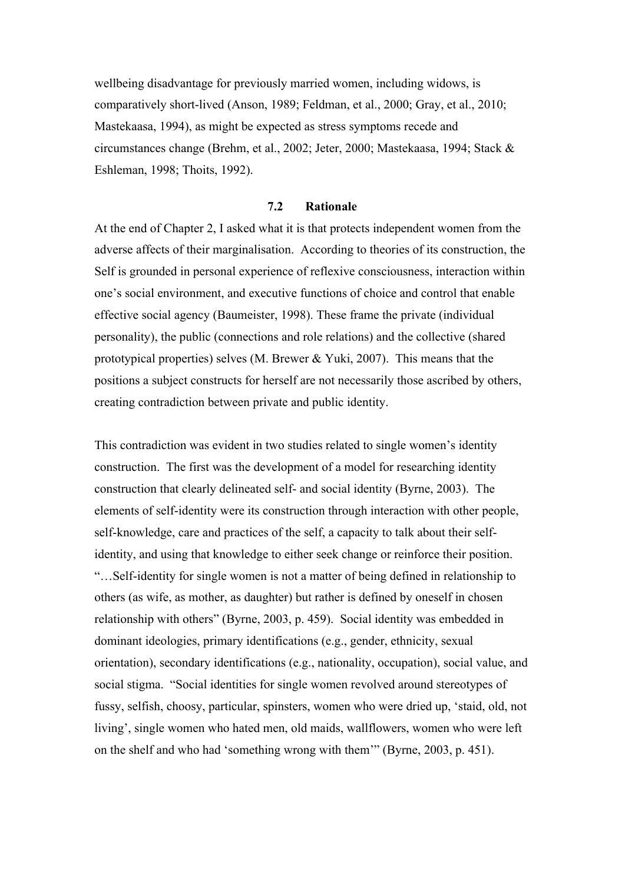wellbeing disadvantage for previously married women, including widows, is comparatively short-lived (Anson, 1989; Feldman, et al., 2000; Gray, et al., 2010; Mastekaasa, 1994), as might be expected as stress symptoms recede and circumstances change (Brehm, et al., 2002; Jeter, 2000; Mastekaasa, 1994; Stack & Eshleman, 1998; Thoits, 1992).

### **7.2 Rationale**

At the end of Chapter 2, I asked what it is that protects independent women from the adverse affects of their marginalisation. According to theories of its construction, the Self is grounded in personal experience of reflexive consciousness, interaction within one's social environment, and executive functions of choice and control that enable effective social agency (Baumeister, 1998). These frame the private (individual personality), the public (connections and role relations) and the collective (shared prototypical properties) selves (M. Brewer & Yuki, 2007). This means that the positions a subject constructs for herself are not necessarily those ascribed by others, creating contradiction between private and public identity.

This contradiction was evident in two studies related to single women's identity construction. The first was the development of a model for researching identity construction that clearly delineated self- and social identity (Byrne, 2003). The elements of self-identity were its construction through interaction with other people, self-knowledge, care and practices of the self, a capacity to talk about their selfidentity, and using that knowledge to either seek change or reinforce their position. "…Self-identity for single women is not a matter of being defined in relationship to others (as wife, as mother, as daughter) but rather is defined by oneself in chosen relationship with others" (Byrne, 2003, p. 459). Social identity was embedded in dominant ideologies, primary identifications (e.g., gender, ethnicity, sexual orientation), secondary identifications (e.g., nationality, occupation), social value, and social stigma. "Social identities for single women revolved around stereotypes of fussy, selfish, choosy, particular, spinsters, women who were dried up, 'staid, old, not living', single women who hated men, old maids, wallflowers, women who were left on the shelf and who had 'something wrong with them'" (Byrne, 2003, p. 451).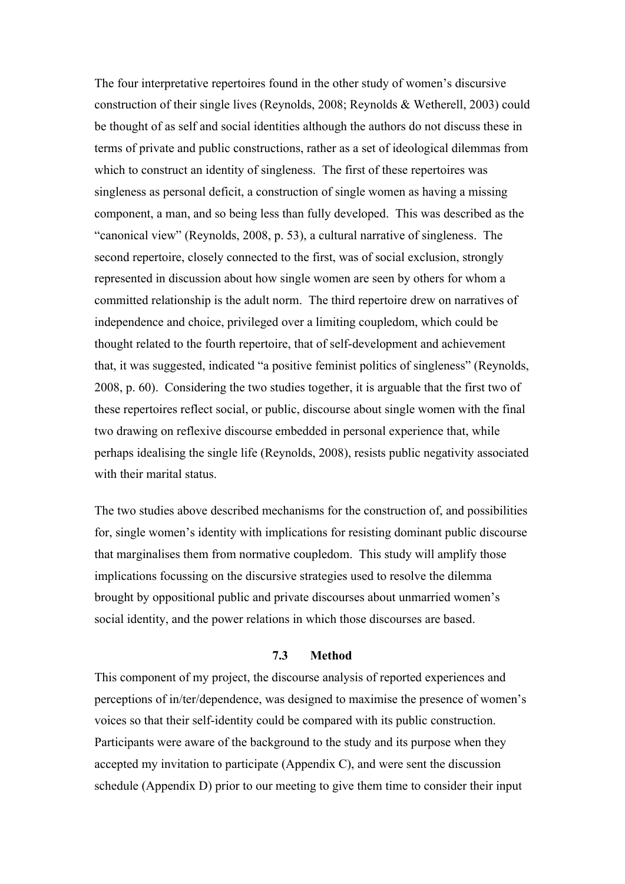The four interpretative repertoires found in the other study of women's discursive construction of their single lives (Reynolds, 2008; Reynolds & Wetherell, 2003) could be thought of as self and social identities although the authors do not discuss these in terms of private and public constructions, rather as a set of ideological dilemmas from which to construct an identity of singleness. The first of these repertoires was singleness as personal deficit, a construction of single women as having a missing component, a man, and so being less than fully developed. This was described as the "canonical view" (Reynolds, 2008, p. 53), a cultural narrative of singleness. The second repertoire, closely connected to the first, was of social exclusion, strongly represented in discussion about how single women are seen by others for whom a committed relationship is the adult norm. The third repertoire drew on narratives of independence and choice, privileged over a limiting coupledom, which could be thought related to the fourth repertoire, that of self-development and achievement that, it was suggested, indicated "a positive feminist politics of singleness" (Reynolds, 2008, p. 60). Considering the two studies together, it is arguable that the first two of these repertoires reflect social, or public, discourse about single women with the final two drawing on reflexive discourse embedded in personal experience that, while perhaps idealising the single life (Reynolds, 2008), resists public negativity associated with their marital status.

The two studies above described mechanisms for the construction of, and possibilities for, single women's identity with implications for resisting dominant public discourse that marginalises them from normative coupledom. This study will amplify those implications focussing on the discursive strategies used to resolve the dilemma brought by oppositional public and private discourses about unmarried women's social identity, and the power relations in which those discourses are based.

#### **7.3 Method**

This component of my project, the discourse analysis of reported experiences and perceptions of in/ter/dependence, was designed to maximise the presence of women's voices so that their self-identity could be compared with its public construction. Participants were aware of the background to the study and its purpose when they accepted my invitation to participate (Appendix C), and were sent the discussion schedule (Appendix D) prior to our meeting to give them time to consider their input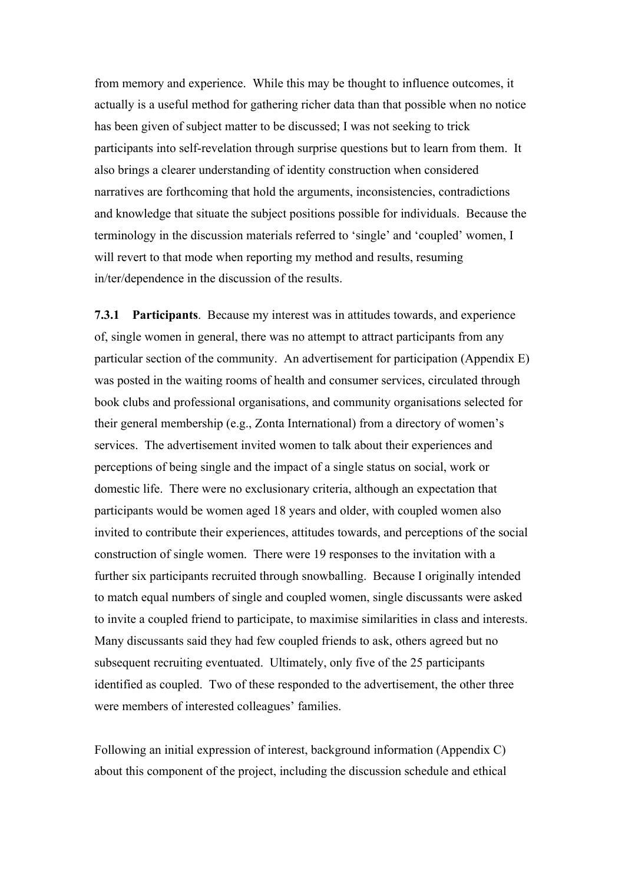from memory and experience. While this may be thought to influence outcomes, it actually is a useful method for gathering richer data than that possible when no notice has been given of subject matter to be discussed; I was not seeking to trick participants into self-revelation through surprise questions but to learn from them. It also brings a clearer understanding of identity construction when considered narratives are forthcoming that hold the arguments, inconsistencies, contradictions and knowledge that situate the subject positions possible for individuals. Because the terminology in the discussion materials referred to 'single' and 'coupled' women, I will revert to that mode when reporting my method and results, resuming in/ter/dependence in the discussion of the results.

**7.3.1 Participants**. Because my interest was in attitudes towards, and experience of, single women in general, there was no attempt to attract participants from any particular section of the community. An advertisement for participation (Appendix E) was posted in the waiting rooms of health and consumer services, circulated through book clubs and professional organisations, and community organisations selected for their general membership (e.g., Zonta International) from a directory of women's services. The advertisement invited women to talk about their experiences and perceptions of being single and the impact of a single status on social, work or domestic life. There were no exclusionary criteria, although an expectation that participants would be women aged 18 years and older, with coupled women also invited to contribute their experiences, attitudes towards, and perceptions of the social construction of single women. There were 19 responses to the invitation with a further six participants recruited through snowballing. Because I originally intended to match equal numbers of single and coupled women, single discussants were asked to invite a coupled friend to participate, to maximise similarities in class and interests. Many discussants said they had few coupled friends to ask, others agreed but no subsequent recruiting eventuated. Ultimately, only five of the 25 participants identified as coupled. Two of these responded to the advertisement, the other three were members of interested colleagues' families.

Following an initial expression of interest, background information (Appendix C) about this component of the project, including the discussion schedule and ethical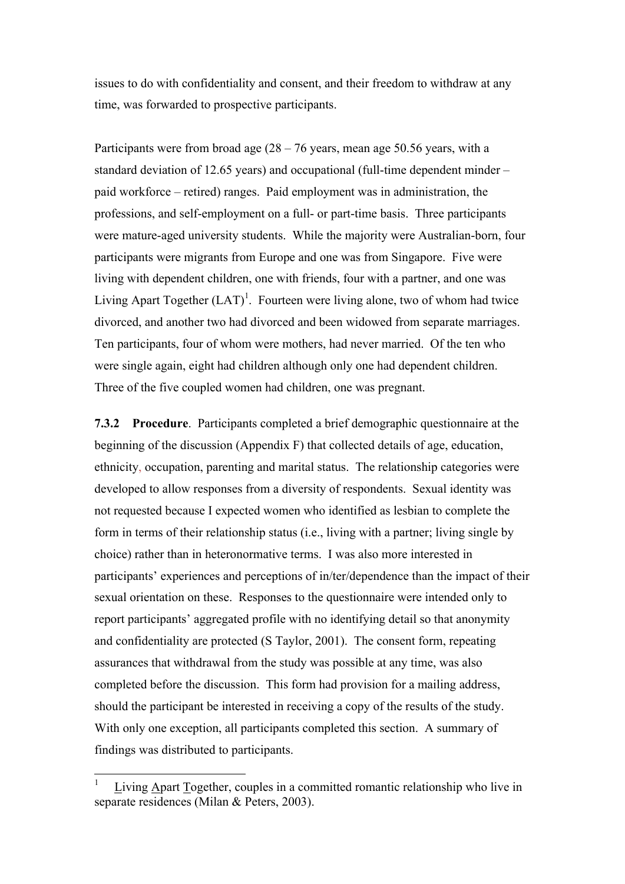issues to do with confidentiality and consent, and their freedom to withdraw at any time, was forwarded to prospective participants.

Participants were from broad age  $(28 - 76$  years, mean age 50.56 years, with a standard deviation of 12.65 years) and occupational (full-time dependent minder – paid workforce – retired) ranges. Paid employment was in administration, the professions, and self-employment on a full- or part-time basis. Three participants were mature-aged university students. While the majority were Australian-born, four participants were migrants from Europe and one was from Singapore. Five were living with dependent children, one with friends, four with a partner, and one was Living Apart Together  $(LAT)^1$ . Fourteen were living alone, two of whom had twice divorced, and another two had divorced and been widowed from separate marriages. Ten participants, four of whom were mothers, had never married. Of the ten who were single again, eight had children although only one had dependent children. Three of the five coupled women had children, one was pregnant.

**7.3.2 Procedure**. Participants completed a brief demographic questionnaire at the beginning of the discussion (Appendix F) that collected details of age, education, ethnicity, occupation, parenting and marital status. The relationship categories were developed to allow responses from a diversity of respondents. Sexual identity was not requested because I expected women who identified as lesbian to complete the form in terms of their relationship status (i.e., living with a partner; living single by choice) rather than in heteronormative terms. I was also more interested in participants' experiences and perceptions of in/ter/dependence than the impact of their sexual orientation on these. Responses to the questionnaire were intended only to report participants' aggregated profile with no identifying detail so that anonymity and confidentiality are protected (S Taylor, 2001). The consent form, repeating assurances that withdrawal from the study was possible at any time, was also completed before the discussion. This form had provision for a mailing address, should the participant be interested in receiving a copy of the results of the study. With only one exception, all participants completed this section. A summary of findings was distributed to participants.

 <sup>1</sup> Living Apart Together, couples in a committed romantic relationship who live in separate residences (Milan & Peters, 2003).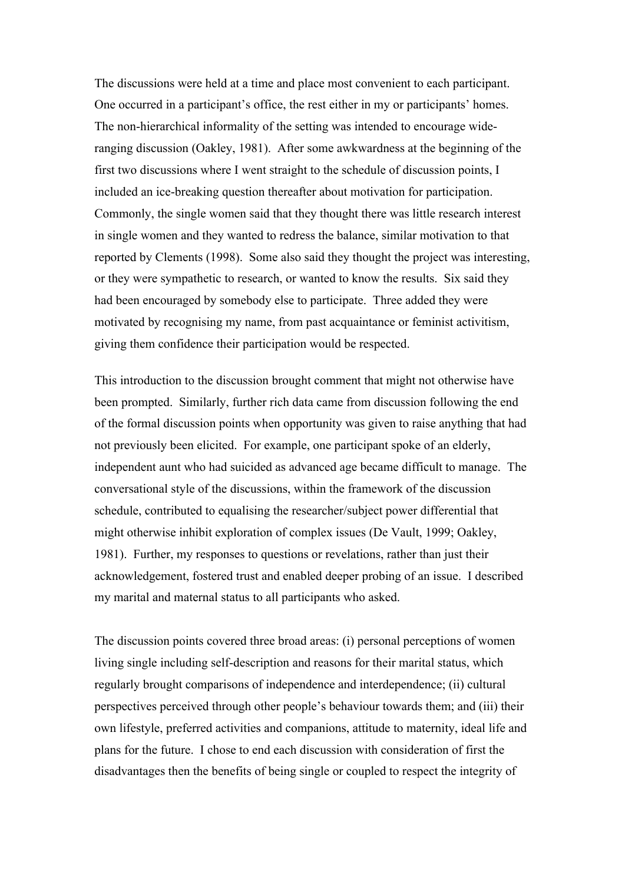The discussions were held at a time and place most convenient to each participant. One occurred in a participant's office, the rest either in my or participants' homes. The non-hierarchical informality of the setting was intended to encourage wideranging discussion (Oakley, 1981). After some awkwardness at the beginning of the first two discussions where I went straight to the schedule of discussion points, I included an ice-breaking question thereafter about motivation for participation. Commonly, the single women said that they thought there was little research interest in single women and they wanted to redress the balance, similar motivation to that reported by Clements (1998). Some also said they thought the project was interesting, or they were sympathetic to research, or wanted to know the results. Six said they had been encouraged by somebody else to participate. Three added they were motivated by recognising my name, from past acquaintance or feminist activitism, giving them confidence their participation would be respected.

This introduction to the discussion brought comment that might not otherwise have been prompted. Similarly, further rich data came from discussion following the end of the formal discussion points when opportunity was given to raise anything that had not previously been elicited. For example, one participant spoke of an elderly, independent aunt who had suicided as advanced age became difficult to manage. The conversational style of the discussions, within the framework of the discussion schedule, contributed to equalising the researcher/subject power differential that might otherwise inhibit exploration of complex issues (De Vault, 1999; Oakley, 1981). Further, my responses to questions or revelations, rather than just their acknowledgement, fostered trust and enabled deeper probing of an issue. I described my marital and maternal status to all participants who asked.

The discussion points covered three broad areas: (i) personal perceptions of women living single including self-description and reasons for their marital status, which regularly brought comparisons of independence and interdependence; (ii) cultural perspectives perceived through other people's behaviour towards them; and (iii) their own lifestyle, preferred activities and companions, attitude to maternity, ideal life and plans for the future. I chose to end each discussion with consideration of first the disadvantages then the benefits of being single or coupled to respect the integrity of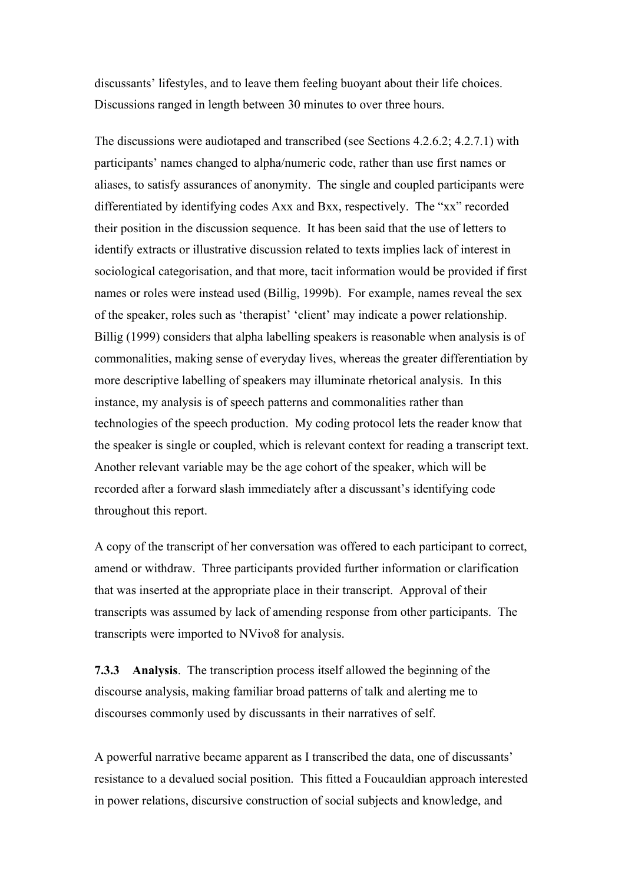discussants' lifestyles, and to leave them feeling buoyant about their life choices. Discussions ranged in length between 30 minutes to over three hours.

The discussions were audiotaped and transcribed (see Sections 4.2.6.2; 4.2.7.1) with participants' names changed to alpha/numeric code, rather than use first names or aliases, to satisfy assurances of anonymity. The single and coupled participants were differentiated by identifying codes Axx and Bxx, respectively. The "xx" recorded their position in the discussion sequence. It has been said that the use of letters to identify extracts or illustrative discussion related to texts implies lack of interest in sociological categorisation, and that more, tacit information would be provided if first names or roles were instead used (Billig, 1999b). For example, names reveal the sex of the speaker, roles such as 'therapist' 'client' may indicate a power relationship. Billig (1999) considers that alpha labelling speakers is reasonable when analysis is of commonalities, making sense of everyday lives, whereas the greater differentiation by more descriptive labelling of speakers may illuminate rhetorical analysis. In this instance, my analysis is of speech patterns and commonalities rather than technologies of the speech production. My coding protocol lets the reader know that the speaker is single or coupled, which is relevant context for reading a transcript text. Another relevant variable may be the age cohort of the speaker, which will be recorded after a forward slash immediately after a discussant's identifying code throughout this report.

A copy of the transcript of her conversation was offered to each participant to correct, amend or withdraw. Three participants provided further information or clarification that was inserted at the appropriate place in their transcript. Approval of their transcripts was assumed by lack of amending response from other participants. The transcripts were imported to NVivo8 for analysis.

**7.3.3 Analysis**. The transcription process itself allowed the beginning of the discourse analysis, making familiar broad patterns of talk and alerting me to discourses commonly used by discussants in their narratives of self.

A powerful narrative became apparent as I transcribed the data, one of discussants' resistance to a devalued social position. This fitted a Foucauldian approach interested in power relations, discursive construction of social subjects and knowledge, and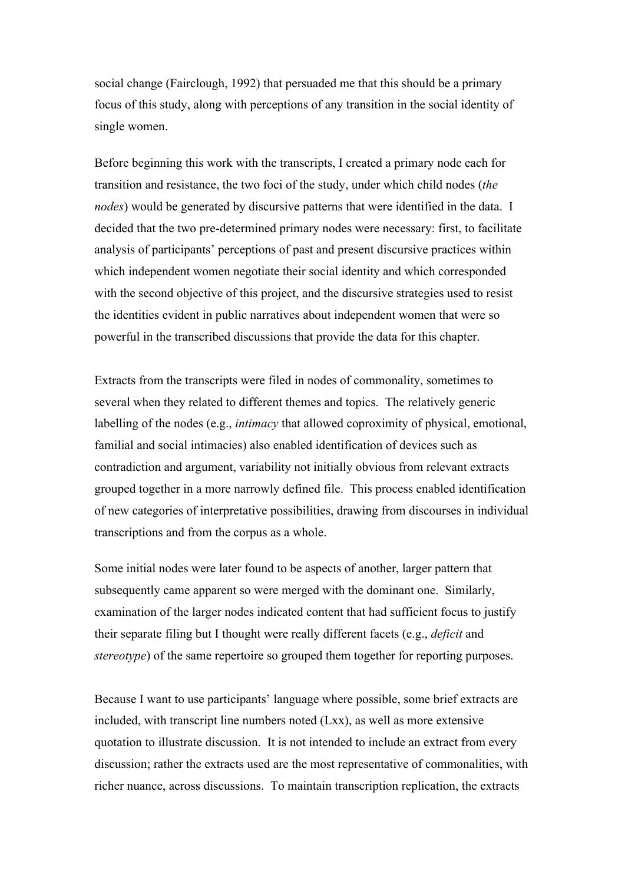social change (Fairclough, 1992) that persuaded me that this should be a primary focus of this study, along with perceptions of any transition in the social identity of single women.

Before beginning this work with the transcripts, I created a primary node each for transition and resistance, the two foci of the study, under which child nodes (*the nodes*) would be generated by discursive patterns that were identified in the data. I decided that the two pre-determined primary nodes were necessary: first, to facilitate analysis of participants' perceptions of past and present discursive practices within which independent women negotiate their social identity and which corresponded with the second objective of this project, and the discursive strategies used to resist the identities evident in public narratives about independent women that were so powerful in the transcribed discussions that provide the data for this chapter.

Extracts from the transcripts were filed in nodes of commonality, sometimes to several when they related to different themes and topics. The relatively generic labelling of the nodes (e.g., *intimacy* that allowed coproximity of physical, emotional, familial and social intimacies) also enabled identification of devices such as contradiction and argument, variability not initially obvious from relevant extracts grouped together in a more narrowly defined file. This process enabled identification of new categories of interpretative possibilities, drawing from discourses in individual transcriptions and from the corpus as a whole.

Some initial nodes were later found to be aspects of another, larger pattern that subsequently came apparent so were merged with the dominant one. Similarly, examination of the larger nodes indicated content that had sufficient focus to justify their separate filing but I thought were really different facets (e.g., *deficit* and *stereotype*) of the same repertoire so grouped them together for reporting purposes.

Because I want to use participants' language where possible, some brief extracts are included, with transcript line numbers noted (Lxx), as well as more extensive quotation to illustrate discussion. It is not intended to include an extract from every discussion; rather the extracts used are the most representative of commonalities, with richer nuance, across discussions. To maintain transcription replication, the extracts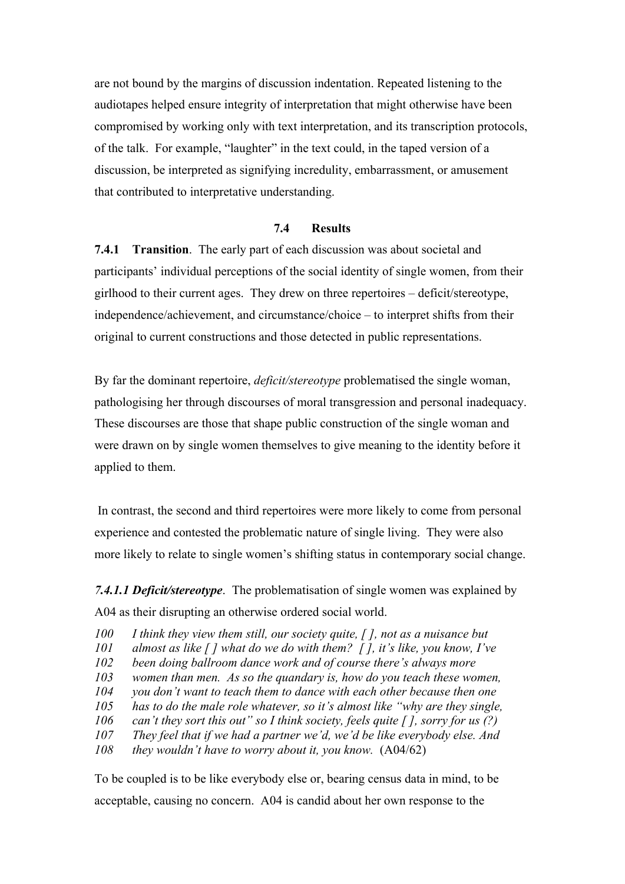are not bound by the margins of discussion indentation. Repeated listening to the audiotapes helped ensure integrity of interpretation that might otherwise have been compromised by working only with text interpretation, and its transcription protocols, of the talk. For example, "laughter" in the text could, in the taped version of a discussion, be interpreted as signifying incredulity, embarrassment, or amusement that contributed to interpretative understanding.

### **7.4 Results**

**7.4.1 Transition**. The early part of each discussion was about societal and participants' individual perceptions of the social identity of single women, from their girlhood to their current ages. They drew on three repertoires – deficit/stereotype, independence/achievement, and circumstance/choice – to interpret shifts from their original to current constructions and those detected in public representations.

By far the dominant repertoire, *deficit/stereotype* problematised the single woman, pathologising her through discourses of moral transgression and personal inadequacy. These discourses are those that shape public construction of the single woman and were drawn on by single women themselves to give meaning to the identity before it applied to them.

 In contrast, the second and third repertoires were more likely to come from personal experience and contested the problematic nature of single living. They were also more likely to relate to single women's shifting status in contemporary social change.

*7.4.1.1 Deficit/stereotype*. The problematisation of single women was explained by A04 as their disrupting an otherwise ordered social world.

- *100 I think they view them still, our society quite, [ ], not as a nuisance but*
- *101 almost as like [ ] what do we do with them? [ ], it's like, you know, I've*
- *102 been doing ballroom dance work and of course there's always more*
- *103 women than men. As so the quandary is, how do you teach these women,*
- *104 you don't want to teach them to dance with each other because then one*
- *105 has to do the male role whatever, so it's almost like "why are they single,*
- *106 can't they sort this out" so I think society, feels quite [ ], sorry for us (?)*
- *107 They feel that if we had a partner we'd, we'd be like everybody else. And*
- *108 they wouldn't have to worry about it, you know.* (A04/62)

To be coupled is to be like everybody else or, bearing census data in mind, to be acceptable, causing no concern. A04 is candid about her own response to the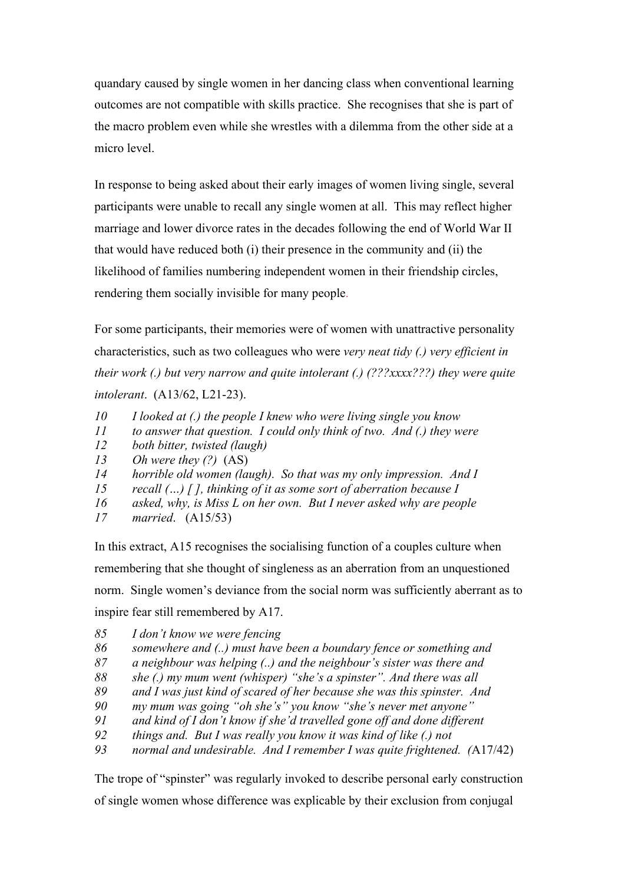quandary caused by single women in her dancing class when conventional learning outcomes are not compatible with skills practice. She recognises that she is part of the macro problem even while she wrestles with a dilemma from the other side at a micro level.

In response to being asked about their early images of women living single, several participants were unable to recall any single women at all. This may reflect higher marriage and lower divorce rates in the decades following the end of World War II that would have reduced both (i) their presence in the community and (ii) the likelihood of families numbering independent women in their friendship circles, rendering them socially invisible for many people.

For some participants, their memories were of women with unattractive personality characteristics, such as two colleagues who were *very neat tidy (.) very efficient in their work (.) but very narrow and quite intolerant (.) (???xxxx???) they were quite intolerant*. (A13/62, L21-23).

- *10 I looked at (.) the people I knew who were living single you know*
- *11 to answer that question. I could only think of two. And (.) they were*
- *12 both bitter, twisted (laugh)*
- *13 Oh were they (?)* (AS)
- *14 horrible old women (laugh). So that was my only impression. And I*
- *15 recall (…) [ ], thinking of it as some sort of aberration because I*
- *16 asked, why, is Miss L on her own. But I never asked why are people*
- *17 married*. (A15/53)

In this extract, A15 recognises the socialising function of a couples culture when remembering that she thought of singleness as an aberration from an unquestioned norm. Single women's deviance from the social norm was sufficiently aberrant as to inspire fear still remembered by A17.

- *85 I don't know we were fencing*
- *86 somewhere and (..) must have been a boundary fence or something and*
- *87 a neighbour was helping (..) and the neighbour's sister was there and*
- *88 she (.) my mum went (whisper) "she's a spinster". And there was all*
- *89 and I was just kind of scared of her because she was this spinster. And*
- *90 my mum was going "oh she's" you know "she's never met anyone"*
- *91 and kind of I don't know if she'd travelled gone off and done different*
- *92 things and. But I was really you know it was kind of like (.) not*
- *93 normal and undesirable. And I remember I was quite frightened. (*A17/42)

The trope of "spinster" was regularly invoked to describe personal early construction of single women whose difference was explicable by their exclusion from conjugal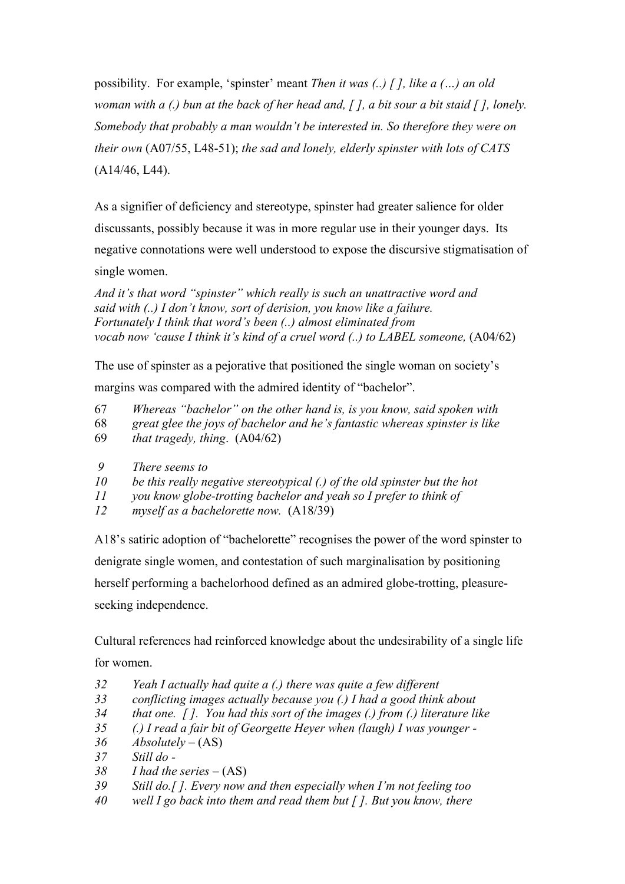possibility. For example, 'spinster' meant *Then it was (..) [ ], like a (…) an old woman with a (.) bun at the back of her head and, [ ], a bit sour a bit staid [ ], lonely. Somebody that probably a man wouldn't be interested in. So therefore they were on their own* (A07/55, L48-51); *the sad and lonely, elderly spinster with lots of CATS* (A14/46, L44).

As a signifier of deficiency and stereotype, spinster had greater salience for older discussants, possibly because it was in more regular use in their younger days. Its negative connotations were well understood to expose the discursive stigmatisation of single women.

*And it's that word "spinster" which really is such an unattractive word and said with (..) I don't know, sort of derision, you know like a failure. Fortunately I think that word's been (..) almost eliminated from vocab now 'cause I think it's kind of a cruel word (..) to LABEL someone,* (A04/62)

The use of spinster as a pejorative that positioned the single woman on society's margins was compared with the admired identity of "bachelor".

- 67 *Whereas "bachelor" on the other hand is, is you know, said spoken with*
- 68 *great glee the joys of bachelor and he's fantastic whereas spinster is like*
- 69 *that tragedy, thing*. (A04/62)
- *9 There seems to*
- *10 be this really negative stereotypical (.) of the old spinster but the hot*
- *11 you know globe-trotting bachelor and yeah so I prefer to think of*
- *12 myself as a bachelorette now.* (A18/39)

A18's satiric adoption of "bachelorette" recognises the power of the word spinster to denigrate single women, and contestation of such marginalisation by positioning herself performing a bachelorhood defined as an admired globe-trotting, pleasureseeking independence.

Cultural references had reinforced knowledge about the undesirability of a single life for women.

- *32 Yeah I actually had quite a (.) there was quite a few different*
- *33 conflicting images actually because you (.) I had a good think about*
- *34 that one. [ ]. You had this sort of the images (.) from (.) literature like*
- *35 (.) I read a fair bit of Georgette Heyer when (laugh) I was younger -*
- *36 Absolutely –* (AS)
- *37 Still do -*
- *38 I had the series –* (AS)
- *39 Still do.[ ]. Every now and then especially when I'm not feeling too*
- *40 well I go back into them and read them but [ ]. But you know, there*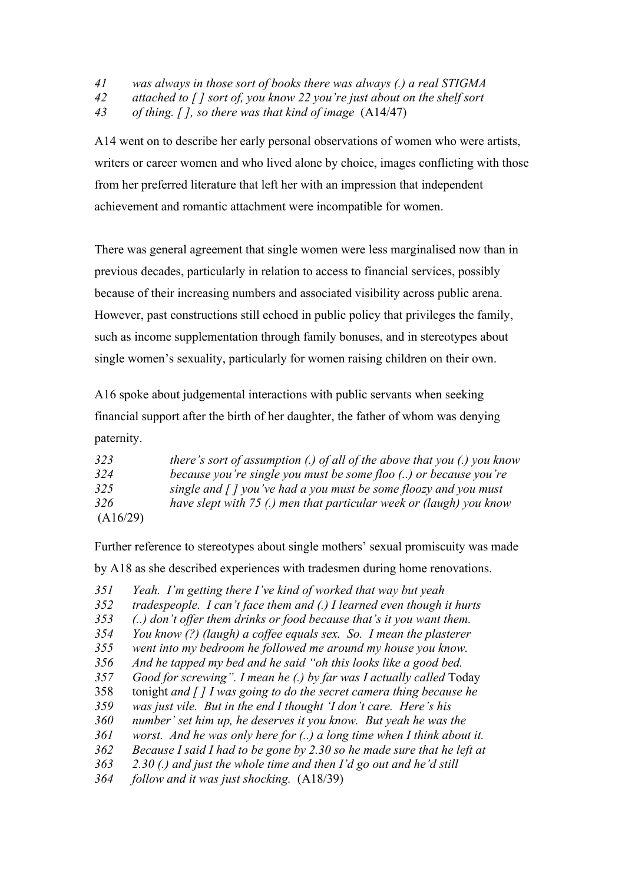*41 was always in those sort of books there was always (.) a real STIGMA* 

*42 attached to [ ] sort of, you know 22 you're just about on the shelf sort* 

*43 of thing. [ ], so there was that kind of image* (A14/47)

A14 went on to describe her early personal observations of women who were artists, writers or career women and who lived alone by choice, images conflicting with those from her preferred literature that left her with an impression that independent achievement and romantic attachment were incompatible for women.

There was general agreement that single women were less marginalised now than in previous decades, particularly in relation to access to financial services, possibly because of their increasing numbers and associated visibility across public arena. However, past constructions still echoed in public policy that privileges the family, such as income supplementation through family bonuses, and in stereotypes about single women's sexuality, particularly for women raising children on their own.

A16 spoke about judgemental interactions with public servants when seeking financial support after the birth of her daughter, the father of whom was denying paternity.

| 323      | there's sort of assumption (.) of all of the above that you (.) you know   |
|----------|----------------------------------------------------------------------------|
| 324      | because you're single you must be some floo () or because you're           |
| 325      | single and $\int$ $\int$ you've had a you must be some floozy and you must |
| 326      | have slept with 75 (.) men that particular week or (laugh) you know        |
| (A16/29) |                                                                            |

Further reference to stereotypes about single mothers' sexual promiscuity was made by A18 as she described experiences with tradesmen during home renovations.

*351 Yeah. I'm getting there I've kind of worked that way but yeah* 

*352 tradespeople. I can't face them and (.) I learned even though it hurts* 

*353 (..) don't offer them drinks or food because that's it you want them.* 

*354 You know (?) (laugh) a coffee equals sex. So. I mean the plasterer* 

- *355 went into my bedroom he followed me around my house you know.*
- *356 And he tapped my bed and he said "oh this looks like a good bed.*
- *357 Good for screwing". I mean he (.) by far was I actually called* Today
- 358 tonight *and [ ] I was going to do the secret camera thing because he*
- *359 was just vile. But in the end I thought 'I don't care. Here's his*
- *360 number' set him up, he deserves it you know. But yeah he was the*
- *361 worst. And he was only here for (..) a long time when I think about it.*
- *362 Because I said I had to be gone by 2.30 so he made sure that he left at*
- *363 2.30 (.) and just the whole time and then I'd go out and he'd still*

*364 follow and it was just shocking.* (A18/39)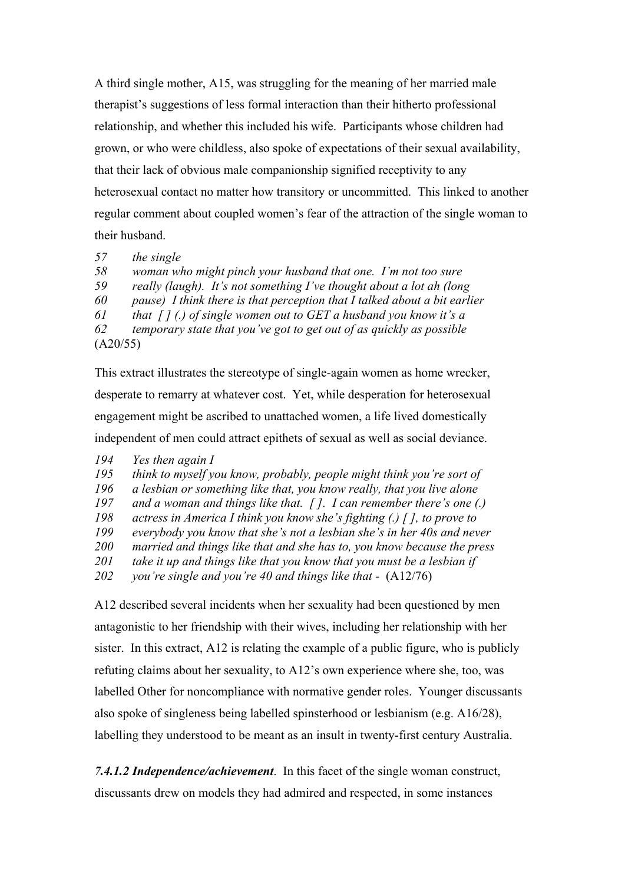A third single mother, A15, was struggling for the meaning of her married male therapist's suggestions of less formal interaction than their hitherto professional relationship, and whether this included his wife. Participants whose children had grown, or who were childless, also spoke of expectations of their sexual availability, that their lack of obvious male companionship signified receptivity to any heterosexual contact no matter how transitory or uncommitted. This linked to another regular comment about coupled women's fear of the attraction of the single woman to their husband.

*57 the single* 

*58 woman who might pinch your husband that one. I'm not too sure* 

*59 really (laugh). It's not something I've thought about a lot ah (long* 

*60 pause) I think there is that perception that I talked about a bit earlier* 

*61 that [ ] (.) of single women out to GET a husband you know it's a* 

*62 temporary state that you've got to get out of as quickly as possible*  (A20/55)

This extract illustrates the stereotype of single-again women as home wrecker, desperate to remarry at whatever cost. Yet, while desperation for heterosexual engagement might be ascribed to unattached women, a life lived domestically independent of men could attract epithets of sexual as well as social deviance.

- *194 Yes then again I*
- *195 think to myself you know, probably, people might think you're sort of*
- *196 a lesbian or something like that, you know really, that you live alone*
- *197 and a woman and things like that. [ ]. I can remember there's one (.)*
- *198 actress in America I think you know she's fighting (.) [ ], to prove to*
- *199 everybody you know that she's not a lesbian she's in her 40s and never*
- *200 married and things like that and she has to, you know because the press*
- *201 take it up and things like that you know that you must be a lesbian if*
- *202 you're single and you're 40 and things like that* (A12/76)

A12 described several incidents when her sexuality had been questioned by men antagonistic to her friendship with their wives, including her relationship with her sister. In this extract, A12 is relating the example of a public figure, who is publicly refuting claims about her sexuality, to A12's own experience where she, too, was labelled Other for noncompliance with normative gender roles. Younger discussants also spoke of singleness being labelled spinsterhood or lesbianism (e.g. A16/28), labelling they understood to be meant as an insult in twenty-first century Australia.

*7.4.1.2 Independence/achievement*. In this facet of the single woman construct, discussants drew on models they had admired and respected, in some instances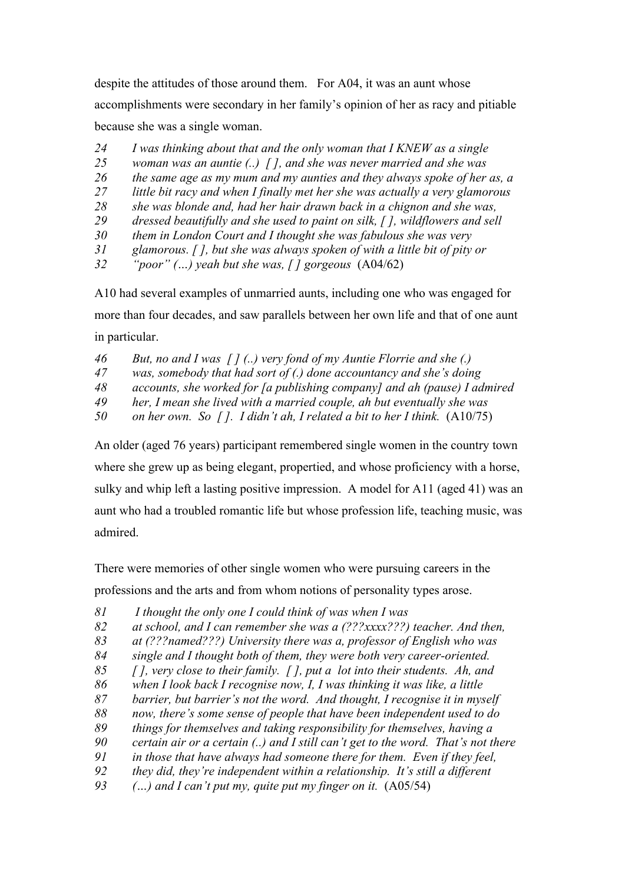despite the attitudes of those around them. For A04, it was an aunt whose accomplishments were secondary in her family's opinion of her as racy and pitiable because she was a single woman.

- *I was thinking about that and the only woman that I KNEW as a single*
- *woman was an auntie (..) [ ], and she was never married and she was*
- *the same age as my mum and my aunties and they always spoke of her as, a*
- *little bit racy and when I finally met her she was actually a very glamorous*
- *she was blonde and, had her hair drawn back in a chignon and she was,*
- *dressed beautifully and she used to paint on silk, [ ], wildflowers and sell*
- *them in London Court and I thought she was fabulous she was very*
- *glamorous. [ ], but she was always spoken of with a little bit of pity or*
- *"poor" (…) yeah but she was, [ ] gorgeous* (A04/62)

A10 had several examples of unmarried aunts, including one who was engaged for more than four decades, and saw parallels between her own life and that of one aunt in particular.

- *But, no and I was [ ] (..) very fond of my Auntie Florrie and she (.)*
- *was, somebody that had sort of (.) done accountancy and she's doing*
- *accounts, she worked for [a publishing company] and ah (pause) I admired*
- *her, I mean she lived with a married couple, ah but eventually she was*
- *on her own. So [ ]. I didn't ah, I related a bit to her I think.* (A10/75)

An older (aged 76 years) participant remembered single women in the country town where she grew up as being elegant, propertied, and whose proficiency with a horse, sulky and whip left a lasting positive impression. A model for A11 (aged 41) was an aunt who had a troubled romantic life but whose profession life, teaching music, was admired.

There were memories of other single women who were pursuing careers in the professions and the arts and from whom notions of personality types arose.

- *81 I thought the only one I could think of was when I was*
- *at school, and I can remember she was a (???xxxx???) teacher. And then,*
- *at (???named???) University there was a, professor of English who was*
- *single and I thought both of them, they were both very career-oriented.*
- *[ ], very close to their family. [ ], put a lot into their students. Ah, and*
- *when I look back I recognise now, I, I was thinking it was like, a little*
- *barrier, but barrier's not the word. And thought, I recognise it in myself*
- *now, there's some sense of people that have been independent used to do*
- *things for themselves and taking responsibility for themselves, having a*
- *certain air or a certain (..) and I still can't get to the word. That's not there*
- *in those that have always had someone there for them. Even if they feel,*
- *they did, they're independent within a relationship. It's still a different*
- *(…) and I can't put my, quite put my finger on it.* (A05/54)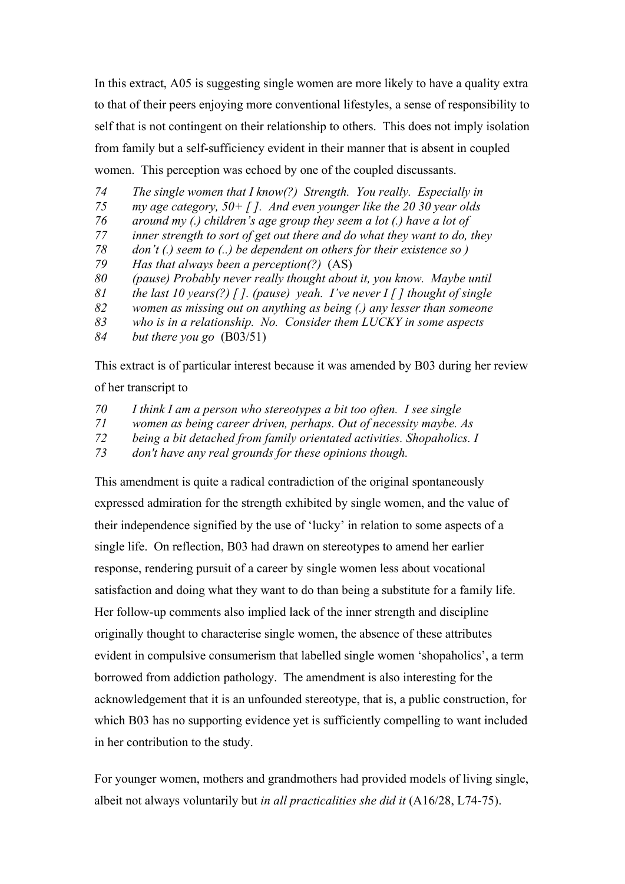In this extract, A05 is suggesting single women are more likely to have a quality extra to that of their peers enjoying more conventional lifestyles, a sense of responsibility to self that is not contingent on their relationship to others. This does not imply isolation from family but a self-sufficiency evident in their manner that is absent in coupled women. This perception was echoed by one of the coupled discussants.

- *74 The single women that I know(?) Strength. You really. Especially in*
- *75 my age category, 50+ [ ]. And even younger like the 20 30 year olds*
- *76 around my (.) children's age group they seem a lot (.) have a lot of*
- *77 inner strength to sort of get out there and do what they want to do, they*
- *78 don't (.) seem to (..) be dependent on others for their existence so )*
- *79 Has that always been a perception(?)* (AS)
- *80 (pause) Probably never really thought about it, you know. Maybe until*
- *81 the last 10 years(?) [ ]. (pause) yeah. I've never I [ ] thought of single*
- *82 women as missing out on anything as being (.) any lesser than someone*
- *83 who is in a relationship. No. Consider them LUCKY in some aspects*
- *84 but there you go* (B03/51)

This extract is of particular interest because it was amended by B03 during her review of her transcript to

- *70 I think I am a person who stereotypes a bit too often. I see single*
- *71 women as being career driven, perhaps. Out of necessity maybe. As*
- *72 being a bit detached from family orientated activities. Shopaholics. I*
- *73 don't have any real grounds for these opinions though.*

This amendment is quite a radical contradiction of the original spontaneously expressed admiration for the strength exhibited by single women, and the value of their independence signified by the use of 'lucky' in relation to some aspects of a single life. On reflection, B03 had drawn on stereotypes to amend her earlier response, rendering pursuit of a career by single women less about vocational satisfaction and doing what they want to do than being a substitute for a family life. Her follow-up comments also implied lack of the inner strength and discipline originally thought to characterise single women, the absence of these attributes evident in compulsive consumerism that labelled single women 'shopaholics', a term borrowed from addiction pathology. The amendment is also interesting for the acknowledgement that it is an unfounded stereotype, that is, a public construction, for which B03 has no supporting evidence yet is sufficiently compelling to want included in her contribution to the study.

For younger women, mothers and grandmothers had provided models of living single, albeit not always voluntarily but *in all practicalities she did it* (A16/28, L74-75).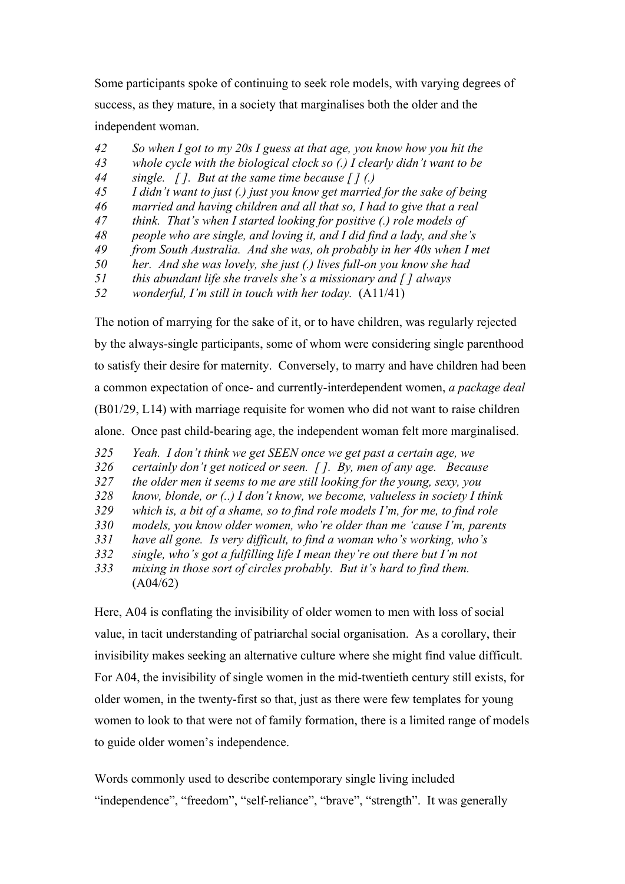Some participants spoke of continuing to seek role models, with varying degrees of success, as they mature, in a society that marginalises both the older and the independent woman.

- *42 So when I got to my 20s I guess at that age, you know how you hit the*
- *43 whole cycle with the biological clock so (.) I clearly didn't want to be*
- *44 single. [ ]. But at the same time because [ ] (.)*
- *45 I didn't want to just (.) just you know get married for the sake of being*
- *46 married and having children and all that so, I had to give that a real*
- *47 think. That's when I started looking for positive (.) role models of*
- *48 people who are single, and loving it, and I did find a lady, and she's*
- *49 from South Australia. And she was, oh probably in her 40s when I met*
- *50 her. And she was lovely, she just (.) lives full-on you know she had*
- *51 this abundant life she travels she's a missionary and [ ] always*
- *52 wonderful, I'm still in touch with her today.* (A11/41)

The notion of marrying for the sake of it, or to have children, was regularly rejected by the always-single participants, some of whom were considering single parenthood to satisfy their desire for maternity. Conversely, to marry and have children had been a common expectation of once- and currently-interdependent women, *a package deal*  (B01/29, L14) with marriage requisite for women who did not want to raise children alone. Once past child-bearing age, the independent woman felt more marginalised.

- *325 Yeah. I don't think we get SEEN once we get past a certain age, we*
- *326 certainly don't get noticed or seen. [ ]. By, men of any age. Because*
- *327 the older men it seems to me are still looking for the young, sexy, you*
- *328 know, blonde, or (..) I don't know, we become, valueless in society I think*
- *329 which is, a bit of a shame, so to find role models I'm, for me, to find role*
- *330 models, you know older women, who're older than me 'cause I'm, parents*
- *331 have all gone. Is very difficult, to find a woman who's working, who's*
- *332 single, who's got a fulfilling life I mean they're out there but I'm not*
- *333 mixing in those sort of circles probably. But it's hard to find them.*  (A04/62)

Here, A04 is conflating the invisibility of older women to men with loss of social value, in tacit understanding of patriarchal social organisation. As a corollary, their invisibility makes seeking an alternative culture where she might find value difficult. For A04, the invisibility of single women in the mid-twentieth century still exists, for older women, in the twenty-first so that, just as there were few templates for young women to look to that were not of family formation, there is a limited range of models to guide older women's independence.

Words commonly used to describe contemporary single living included "independence", "freedom", "self-reliance", "brave", "strength". It was generally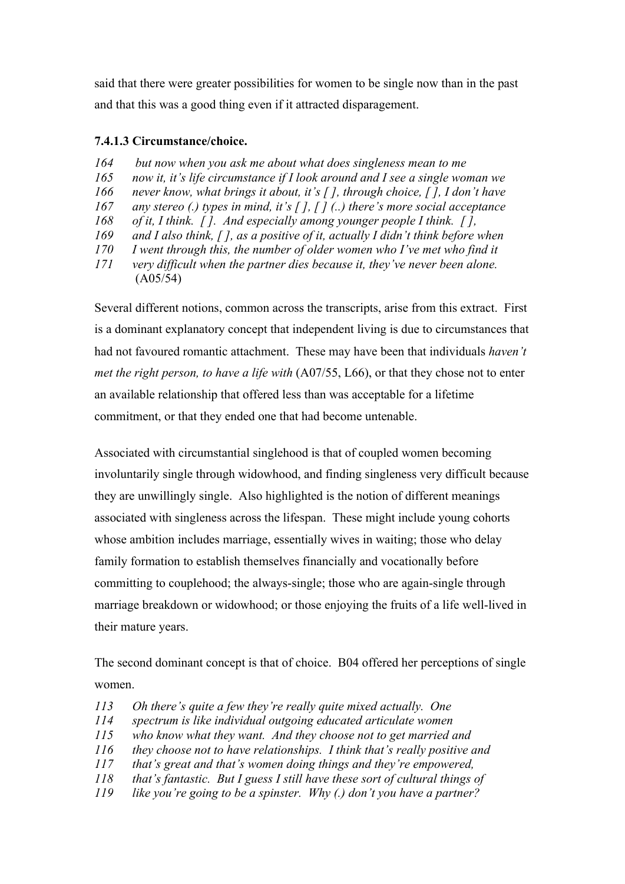said that there were greater possibilities for women to be single now than in the past and that this was a good thing even if it attracted disparagement.

### **7.4.1.3 Circumstance/choice.**

- *164 but now when you ask me about what does singleness mean to me*
- *165 now it, it's life circumstance if I look around and I see a single woman we*
- *166 never know, what brings it about, it's [ ], through choice, [ ], I don't have*
- *167 any stereo (.) types in mind, it's [ ], [ ] (..) there's more social acceptance*
- *168 of it, I think. [ ]. And especially among younger people I think. [ ],*
- *169 and I also think, [ ], as a positive of it, actually I didn't think before when*
- *170 I went through this, the number of older women who I've met who find it*
- *171 very difficult when the partner dies because it, they've never been alone.* (A05/54)

Several different notions, common across the transcripts, arise from this extract. First is a dominant explanatory concept that independent living is due to circumstances that had not favoured romantic attachment. These may have been that individuals *haven't met the right person, to have a life with* (A07/55, L66), or that they chose not to enter an available relationship that offered less than was acceptable for a lifetime commitment, or that they ended one that had become untenable.

Associated with circumstantial singlehood is that of coupled women becoming involuntarily single through widowhood, and finding singleness very difficult because they are unwillingly single. Also highlighted is the notion of different meanings associated with singleness across the lifespan. These might include young cohorts whose ambition includes marriage, essentially wives in waiting; those who delay family formation to establish themselves financially and vocationally before committing to couplehood; the always-single; those who are again-single through marriage breakdown or widowhood; or those enjoying the fruits of a life well-lived in their mature years.

The second dominant concept is that of choice. B04 offered her perceptions of single women.

- *113 Oh there's quite a few they're really quite mixed actually. One*
- *114 spectrum is like individual outgoing educated articulate women*
- *115 who know what they want. And they choose not to get married and*
- *116 they choose not to have relationships. I think that's really positive and*
- *117 that's great and that's women doing things and they're empowered,*
- *118 that's fantastic. But I guess I still have these sort of cultural things of*
- *119 like you're going to be a spinster. Why (.) don't you have a partner?*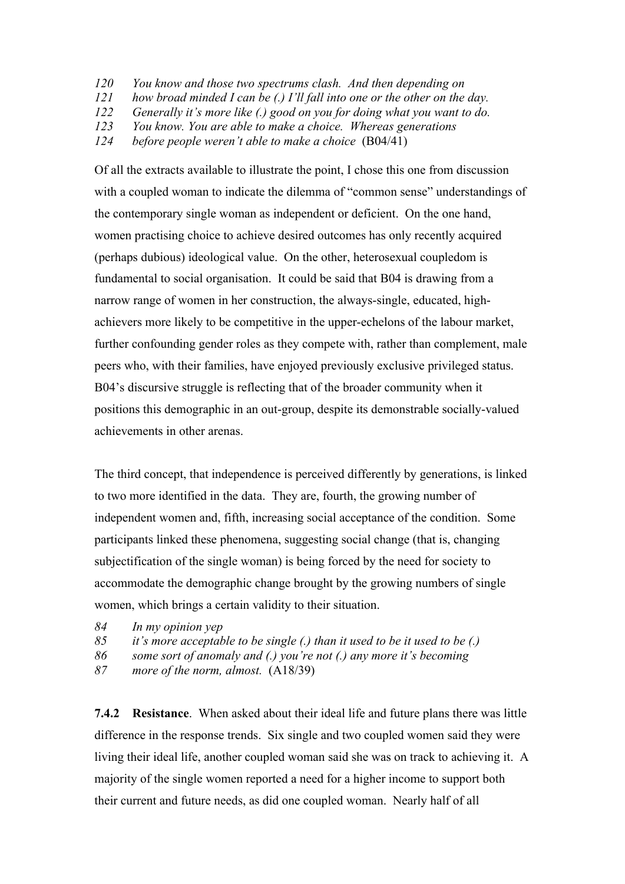- *120 You know and those two spectrums clash. And then depending on*
- *121 how broad minded I can be (.) I'll fall into one or the other on the day.*
- *122 Generally it's more like (.) good on you for doing what you want to do.*
- *123 You know. You are able to make a choice. Whereas generations*
- *124 before people weren't able to make a choice* (B04/41)

Of all the extracts available to illustrate the point, I chose this one from discussion with a coupled woman to indicate the dilemma of "common sense" understandings of the contemporary single woman as independent or deficient. On the one hand, women practising choice to achieve desired outcomes has only recently acquired (perhaps dubious) ideological value. On the other, heterosexual coupledom is fundamental to social organisation. It could be said that B04 is drawing from a narrow range of women in her construction, the always-single, educated, highachievers more likely to be competitive in the upper-echelons of the labour market, further confounding gender roles as they compete with, rather than complement, male peers who, with their families, have enjoyed previously exclusive privileged status. B04's discursive struggle is reflecting that of the broader community when it positions this demographic in an out-group, despite its demonstrable socially-valued achievements in other arenas.

The third concept, that independence is perceived differently by generations, is linked to two more identified in the data. They are, fourth, the growing number of independent women and, fifth, increasing social acceptance of the condition. Some participants linked these phenomena, suggesting social change (that is, changing subjectification of the single woman) is being forced by the need for society to accommodate the demographic change brought by the growing numbers of single women, which brings a certain validity to their situation.

- *84 In my opinion yep*
- *85 it's more acceptable to be single (.) than it used to be it used to be (.)*
- *86 some sort of anomaly and (.) you're not (.) any more it's becoming*
- *87 more of the norm, almost.* (A18/39)

**7.4.2 Resistance**. When asked about their ideal life and future plans there was little difference in the response trends. Six single and two coupled women said they were living their ideal life, another coupled woman said she was on track to achieving it. A majority of the single women reported a need for a higher income to support both their current and future needs, as did one coupled woman. Nearly half of all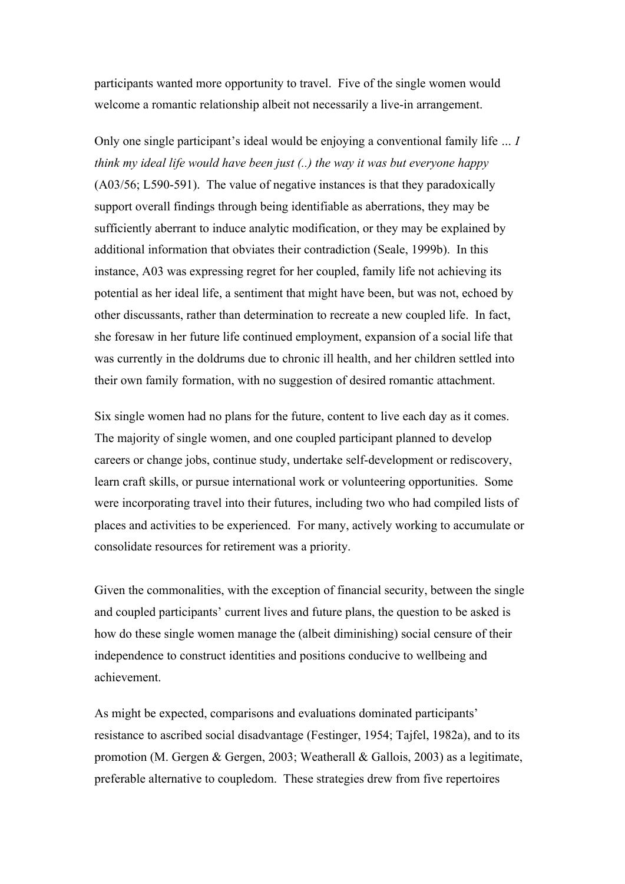participants wanted more opportunity to travel. Five of the single women would welcome a romantic relationship albeit not necessarily a live-in arrangement.

Only one single participant's ideal would be enjoying a conventional family life *… I think my ideal life would have been just (..) the way it was but everyone happy* (A03/56; L590-591). The value of negative instances is that they paradoxically support overall findings through being identifiable as aberrations, they may be sufficiently aberrant to induce analytic modification, or they may be explained by additional information that obviates their contradiction (Seale, 1999b). In this instance, A03 was expressing regret for her coupled, family life not achieving its potential as her ideal life, a sentiment that might have been, but was not, echoed by other discussants, rather than determination to recreate a new coupled life. In fact, she foresaw in her future life continued employment, expansion of a social life that was currently in the doldrums due to chronic ill health, and her children settled into their own family formation, with no suggestion of desired romantic attachment.

Six single women had no plans for the future, content to live each day as it comes. The majority of single women, and one coupled participant planned to develop careers or change jobs, continue study, undertake self-development or rediscovery, learn craft skills, or pursue international work or volunteering opportunities. Some were incorporating travel into their futures, including two who had compiled lists of places and activities to be experienced. For many, actively working to accumulate or consolidate resources for retirement was a priority.

Given the commonalities, with the exception of financial security, between the single and coupled participants' current lives and future plans, the question to be asked is how do these single women manage the (albeit diminishing) social censure of their independence to construct identities and positions conducive to wellbeing and achievement.

As might be expected, comparisons and evaluations dominated participants' resistance to ascribed social disadvantage (Festinger, 1954; Tajfel, 1982a), and to its promotion (M. Gergen & Gergen, 2003; Weatherall & Gallois, 2003) as a legitimate, preferable alternative to coupledom. These strategies drew from five repertoires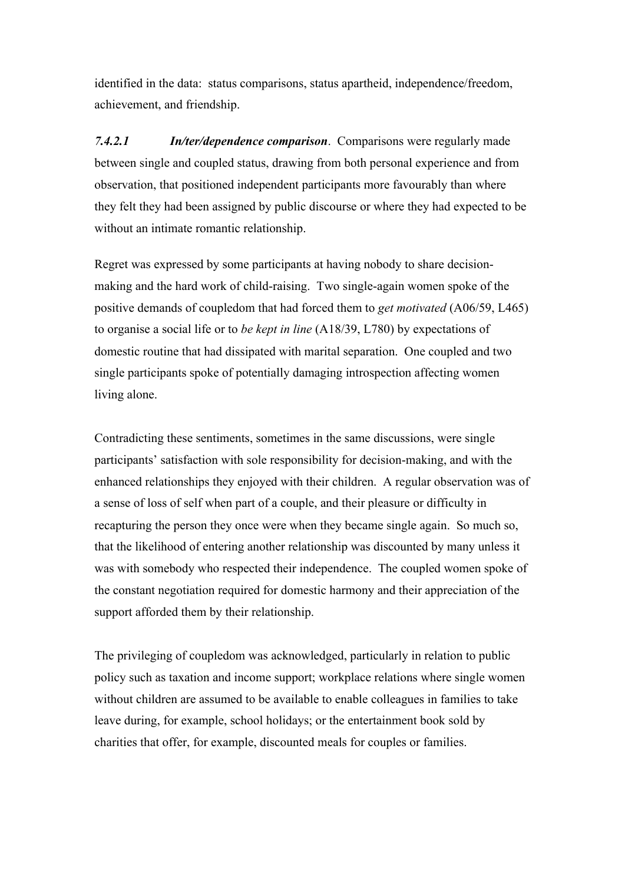identified in the data: status comparisons, status apartheid, independence/freedom, achievement, and friendship.

*7.4.2.1 In/ter/dependence comparison*. Comparisons were regularly made between single and coupled status, drawing from both personal experience and from observation, that positioned independent participants more favourably than where they felt they had been assigned by public discourse or where they had expected to be without an intimate romantic relationship.

Regret was expressed by some participants at having nobody to share decisionmaking and the hard work of child-raising. Two single-again women spoke of the positive demands of coupledom that had forced them to *get motivated* (A06/59, L465) to organise a social life or to *be kept in line* (A18/39, L780) by expectations of domestic routine that had dissipated with marital separation. One coupled and two single participants spoke of potentially damaging introspection affecting women living alone.

Contradicting these sentiments, sometimes in the same discussions, were single participants' satisfaction with sole responsibility for decision-making, and with the enhanced relationships they enjoyed with their children. A regular observation was of a sense of loss of self when part of a couple, and their pleasure or difficulty in recapturing the person they once were when they became single again. So much so, that the likelihood of entering another relationship was discounted by many unless it was with somebody who respected their independence. The coupled women spoke of the constant negotiation required for domestic harmony and their appreciation of the support afforded them by their relationship.

The privileging of coupledom was acknowledged, particularly in relation to public policy such as taxation and income support; workplace relations where single women without children are assumed to be available to enable colleagues in families to take leave during, for example, school holidays; or the entertainment book sold by charities that offer, for example, discounted meals for couples or families.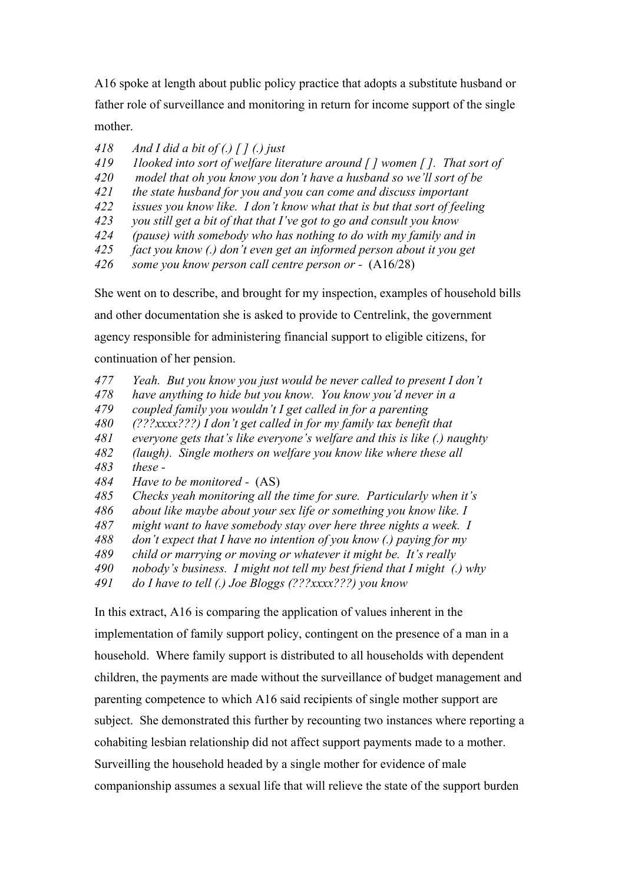A16 spoke at length about public policy practice that adopts a substitute husband or father role of surveillance and monitoring in return for income support of the single mother.

- *418 And I did a bit of (.) [ ] (.) just*
- *419 1looked into sort of welfare literature around [ ] women [ ]. That sort of*
- *420 model that oh you know you don't have a husband so we'll sort of be*
- *421 the state husband for you and you can come and discuss important*
- *422 issues you know like. I don't know what that is but that sort of feeling*
- *423 you still get a bit of that that I've got to go and consult you know*
- *424 (pause) with somebody who has nothing to do with my family and in*
- *425 fact you know (.) don't even get an informed person about it you get*
- *426 some you know person call centre person or* (A16/28)

She went on to describe, and brought for my inspection, examples of household bills

and other documentation she is asked to provide to Centrelink, the government

agency responsible for administering financial support to eligible citizens, for

continuation of her pension.

- *477 Yeah. But you know you just would be never called to present I don't*
- *478 have anything to hide but you know. You know you'd never in a*
- *479 coupled family you wouldn't I get called in for a parenting*
- *480 (???xxxx???) I don't get called in for my family tax benefit that*
- *481 everyone gets that's like everyone's welfare and this is like (.) naughty*
- *482 (laugh). Single mothers on welfare you know like where these all*
- *483 these -*
- *484 Have to be monitored* (AS)
- *485 Checks yeah monitoring all the time for sure. Particularly when it's*
- *486 about like maybe about your sex life or something you know like. I*
- *487 might want to have somebody stay over here three nights a week. I*
- *488 don't expect that I have no intention of you know (.) paying for my*
- *489 child or marrying or moving or whatever it might be. It's really*
- *490 nobody's business. I might not tell my best friend that I might (.) why*
- *491 do I have to tell (.) Joe Bloggs (???xxxx???) you know*

In this extract, A16 is comparing the application of values inherent in the implementation of family support policy, contingent on the presence of a man in a household. Where family support is distributed to all households with dependent children, the payments are made without the surveillance of budget management and parenting competence to which A16 said recipients of single mother support are subject. She demonstrated this further by recounting two instances where reporting a cohabiting lesbian relationship did not affect support payments made to a mother. Surveilling the household headed by a single mother for evidence of male companionship assumes a sexual life that will relieve the state of the support burden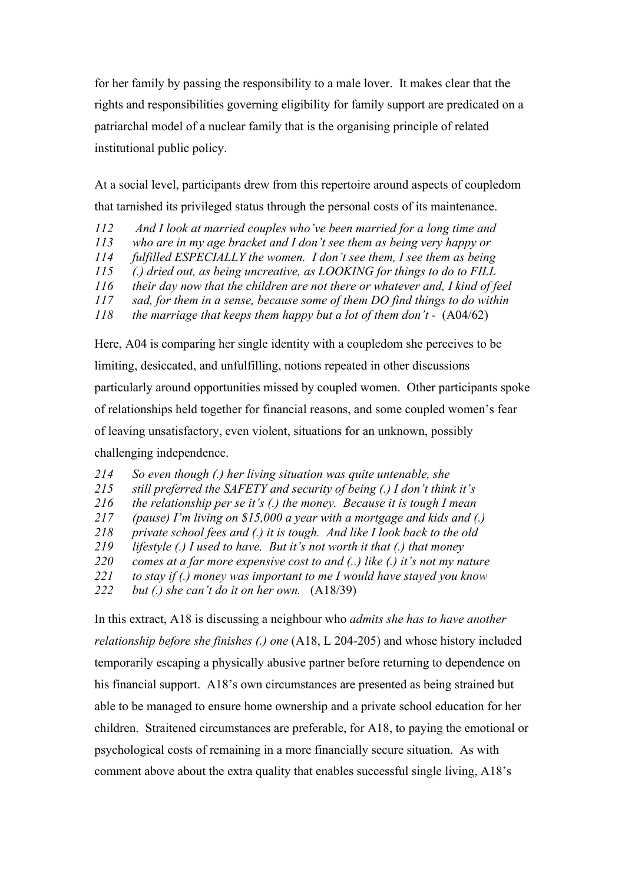for her family by passing the responsibility to a male lover. It makes clear that the rights and responsibilities governing eligibility for family support are predicated on a patriarchal model of a nuclear family that is the organising principle of related institutional public policy.

At a social level, participants drew from this repertoire around aspects of coupledom that tarnished its privileged status through the personal costs of its maintenance.

- *112 And I look at married couples who've been married for a long time and*
- *113 who are in my age bracket and I don't see them as being very happy or*
- *114 fulfilled ESPECIALLY the women. I don't see them, I see them as being*
- *115 (.) dried out, as being uncreative, as LOOKING for things to do to FILL*
- *116 their day now that the children are not there or whatever and, I kind of feel*
- *117 sad, for them in a sense, because some of them DO find things to do within*
- *118 the marriage that keeps them happy but a lot of them don't* (A04/62)

Here, A04 is comparing her single identity with a coupledom she perceives to be limiting, desiccated, and unfulfilling, notions repeated in other discussions particularly around opportunities missed by coupled women. Other participants spoke of relationships held together for financial reasons, and some coupled women's fear of leaving unsatisfactory, even violent, situations for an unknown, possibly challenging independence.

- *214 So even though (.) her living situation was quite untenable, she*
- *215 still preferred the SAFETY and security of being (.) I don't think it's*
- *216 the relationship per se it's (.) the money. Because it is tough I mean*
- *217 (pause) I'm living on \$15,000 a year with a mortgage and kids and (.)*
- *218 private school fees and (.) it is tough. And like I look back to the old*
- *219 lifestyle (.) I used to have. But it's not worth it that (.) that money*
- *220 comes at a far more expensive cost to and (..) like (.) it's not my nature*
- *221 to stay if (.) money was important to me I would have stayed you know*
- *222 but (.) she can't do it on her own.* (A18/39)

In this extract, A18 is discussing a neighbour who *admits she has to have another relationship before she finishes (.) one* (A18, L 204-205) and whose history included temporarily escaping a physically abusive partner before returning to dependence on his financial support. A18's own circumstances are presented as being strained but able to be managed to ensure home ownership and a private school education for her children. Straitened circumstances are preferable, for A18, to paying the emotional or psychological costs of remaining in a more financially secure situation. As with comment above about the extra quality that enables successful single living, A18's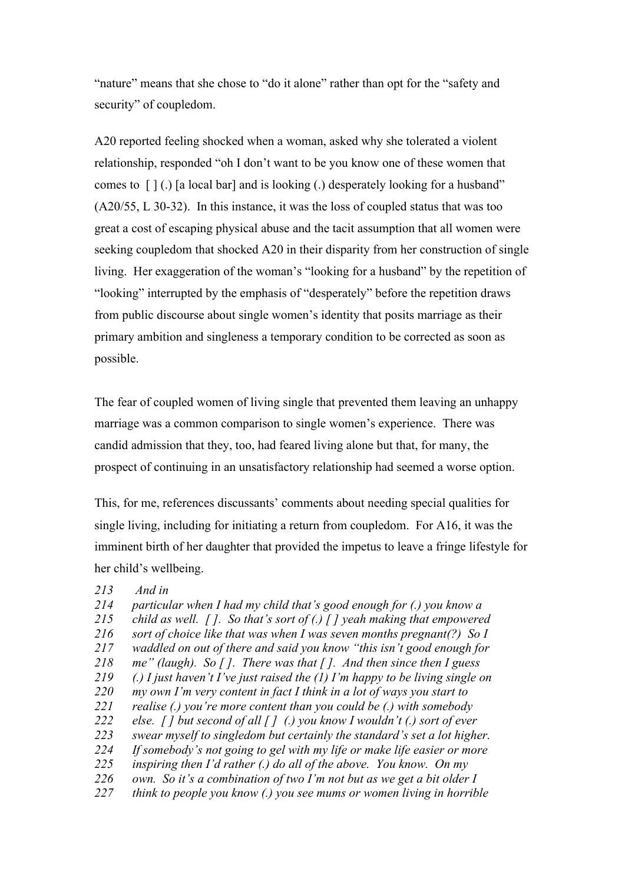"nature" means that she chose to "do it alone" rather than opt for the "safety and security" of coupledom.

A20 reported feeling shocked when a woman, asked why she tolerated a violent relationship, responded "oh I don't want to be you know one of these women that comes to  $\lceil \cdot \rceil$  (.) [a local bar] and is looking (.) desperately looking for a husband" (A20/55, L 30-32). In this instance, it was the loss of coupled status that was too great a cost of escaping physical abuse and the tacit assumption that all women were seeking coupledom that shocked A20 in their disparity from her construction of single living. Her exaggeration of the woman's "looking for a husband" by the repetition of "looking" interrupted by the emphasis of "desperately" before the repetition draws from public discourse about single women's identity that posits marriage as their primary ambition and singleness a temporary condition to be corrected as soon as possible.

The fear of coupled women of living single that prevented them leaving an unhappy marriage was a common comparison to single women's experience. There was candid admission that they, too, had feared living alone but that, for many, the prospect of continuing in an unsatisfactory relationship had seemed a worse option.

This, for me, references discussants' comments about needing special qualities for single living, including for initiating a return from coupledom. For A16, it was the imminent birth of her daughter that provided the impetus to leave a fringe lifestyle for her child's wellbeing.

#### *213 And in*

- *214 particular when I had my child that's good enough for (.) you know a*
- *215 child as well. [ ]. So that's sort of (.) [ ] yeah making that empowered*
- *216 sort of choice like that was when I was seven months pregnant(?) So I*
- *217 waddled on out of there and said you know "this isn't good enough for*
- *218 me" (laugh). So [ ]. There was that [ ]. And then since then I guess*
- *219 (.) I just haven't I've just raised the (1) I'm happy to be living single on*
- *220 my own I'm very content in fact I think in a lot of ways you start to*
- *221 realise (.) you're more content than you could be (.) with somebody*
- *222 else. [ ] but second of all [ ] (.) you know I wouldn't (.) sort of ever*
- *223 swear myself to singledom but certainly the standard's set a lot higher.*
- *224 If somebody's not going to gel with my life or make life easier or more*
- *225 inspiring then I'd rather (.) do all of the above. You know. On my*
- *226 own. So it's a combination of two I'm not but as we get a bit older I*
- *227 think to people you know (.) you see mums or women living in horrible*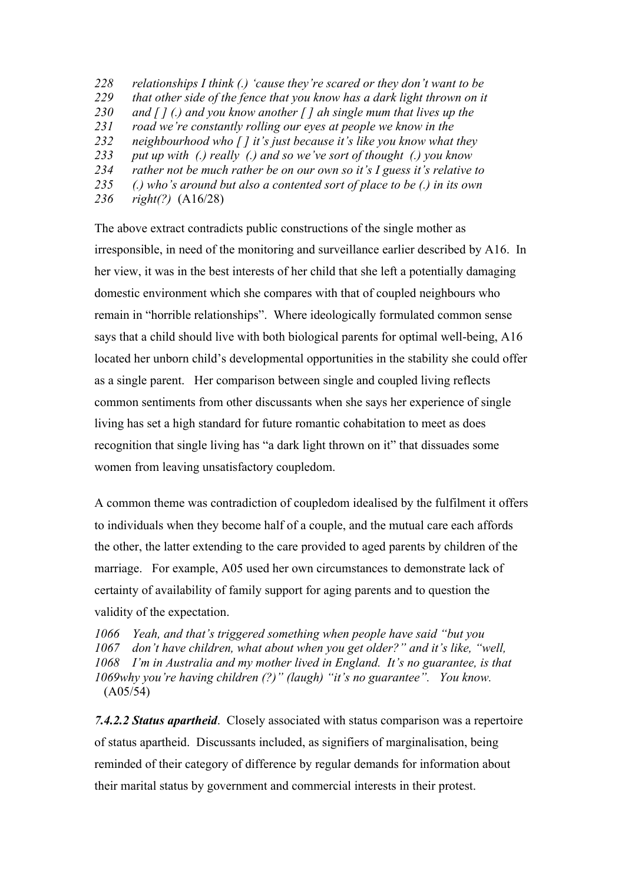*relationships I think (.) 'cause they're scared or they don't want to be that other side of the fence that you know has a dark light thrown on it and [ ] (.) and you know another [ ] ah single mum that lives up the road we're constantly rolling our eyes at people we know in the neighbourhood who [ ] it's just because it's like you know what they put up with (.) really (.) and so we've sort of thought (.) you know rather not be much rather be on our own so it's I guess it's relative to (.) who's around but also a contented sort of place to be (.) in its own right(?)* (A16/28)

The above extract contradicts public constructions of the single mother as irresponsible, in need of the monitoring and surveillance earlier described by A16. In her view, it was in the best interests of her child that she left a potentially damaging domestic environment which she compares with that of coupled neighbours who remain in "horrible relationships". Where ideologically formulated common sense says that a child should live with both biological parents for optimal well-being, A16 located her unborn child's developmental opportunities in the stability she could offer as a single parent. Her comparison between single and coupled living reflects common sentiments from other discussants when she says her experience of single living has set a high standard for future romantic cohabitation to meet as does recognition that single living has "a dark light thrown on it" that dissuades some women from leaving unsatisfactory coupledom.

A common theme was contradiction of coupledom idealised by the fulfilment it offers to individuals when they become half of a couple, and the mutual care each affords the other, the latter extending to the care provided to aged parents by children of the marriage. For example, A05 used her own circumstances to demonstrate lack of certainty of availability of family support for aging parents and to question the validity of the expectation.

*1066 Yeah, and that's triggered something when people have said "but you 1067 don't have children, what about when you get older?" and it's like, "well, 1068 I'm in Australia and my mother lived in England. It's no guarantee, is that 1069why you're having children (?)" (laugh) "it's no guarantee". You know.* (A05/54)

*7.4.2.2 Status apartheid*. Closely associated with status comparison was a repertoire of status apartheid. Discussants included, as signifiers of marginalisation, being reminded of their category of difference by regular demands for information about their marital status by government and commercial interests in their protest.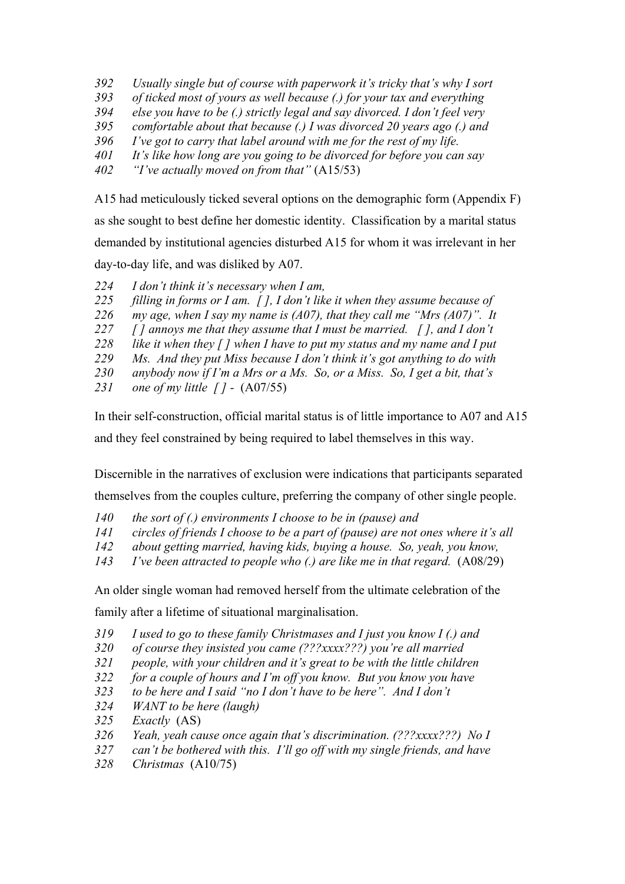- *Usually single but of course with paperwork it's tricky that's why I sort*
- *of ticked most of yours as well because (.) for your tax and everything*
- *else you have to be (.) strictly legal and say divorced. I don't feel very*
- *comfortable about that because (.) I was divorced 20 years ago (.) and*
- *I've got to carry that label around with me for the rest of my life.*
- *It's like how long are you going to be divorced for before you can say*
- *"I've actually moved on from that"* (A15/53)

A15 had meticulously ticked several options on the demographic form (Appendix F) as she sought to best define her domestic identity. Classification by a marital status demanded by institutional agencies disturbed A15 for whom it was irrelevant in her day-to-day life, and was disliked by A07.

*I don't think it's necessary when I am,* 

- *filling in forms or I am. [ ], I don't like it when they assume because of*
- *my age, when I say my name is (A07), that they call me "Mrs (A07)". It*
- *[ ] annoys me that they assume that I must be married. [ ], and I don't*
- *like it when they [ ] when I have to put my status and my name and I put*
- *Ms. And they put Miss because I don't think it's got anything to do with*
- *anybody now if I'm a Mrs or a Ms. So, or a Miss. So, I get a bit, that's*
- *one of my little [ ]* (A07/55)

In their self-construction, official marital status is of little importance to A07 and A15

and they feel constrained by being required to label themselves in this way.

Discernible in the narratives of exclusion were indications that participants separated

themselves from the couples culture, preferring the company of other single people.

- *the sort of (.) environments I choose to be in (pause) and*
- *circles of friends I choose to be a part of (pause) are not ones where it's all*
- *about getting married, having kids, buying a house. So, yeah, you know,*
- *I've been attracted to people who (.) are like me in that regard.* (A08/29)

An older single woman had removed herself from the ultimate celebration of the

family after a lifetime of situational marginalisation.

- *I used to go to these family Christmases and I just you know I (.) and*
- *of course they insisted you came (???xxxx???) you're all married*
- *people, with your children and it's great to be with the little children*
- *for a couple of hours and I'm off you know. But you know you have*
- *to be here and I said "no I don't have to be here". And I don't*
- *WANT to be here (laugh)*
- *Exactly* (AS)
- *Yeah, yeah cause once again that's discrimination. (???xxxx???) No I*
- *can't be bothered with this. I'll go off with my single friends, and have*
- *Christmas* (A10/75)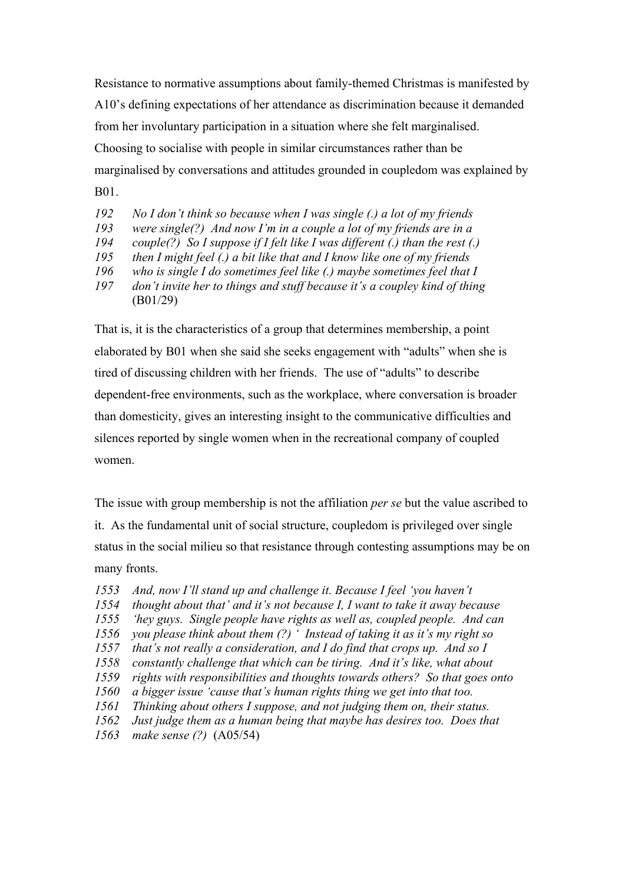Resistance to normative assumptions about family-themed Christmas is manifested by A10's defining expectations of her attendance as discrimination because it demanded from her involuntary participation in a situation where she felt marginalised. Choosing to socialise with people in similar circumstances rather than be marginalised by conversations and attitudes grounded in coupledom was explained by B01.

 *No I don't think so because when I was single (.) a lot of my friends were single(?) And now I'm in a couple a lot of my friends are in a couple(?) So I suppose if I felt like I was different (.) than the rest (.) then I might feel (.) a bit like that and I know like one of my friends who is single I do sometimes feel like (.) maybe sometimes feel that I don't invite her to things and stuff because it's a coupley kind of thing*  (B01/29)

That is, it is the characteristics of a group that determines membership, a point elaborated by B01 when she said she seeks engagement with "adults" when she is tired of discussing children with her friends. The use of "adults" to describe dependent-free environments, such as the workplace, where conversation is broader than domesticity, gives an interesting insight to the communicative difficulties and silences reported by single women when in the recreational company of coupled women.

The issue with group membership is not the affiliation *per se* but the value ascribed to it. As the fundamental unit of social structure, coupledom is privileged over single status in the social milieu so that resistance through contesting assumptions may be on many fronts.

 *And, now I'll stand up and challenge it. Because I feel 'you haven't thought about that' and it's not because I, I want to take it away because 'hey guys. Single people have rights as well as, coupled people. And can you please think about them (?) ' Instead of taking it as it's my right so that's not really a consideration, and I do find that crops up. And so I constantly challenge that which can be tiring. And it's like, what about rights with responsibilities and thoughts towards others? So that goes onto a bigger issue 'cause that's human rights thing we get into that too. Thinking about others I suppose, and not judging them on, their status. Just judge them as a human being that maybe has desires too. Does that make sense (?)* (A05/54)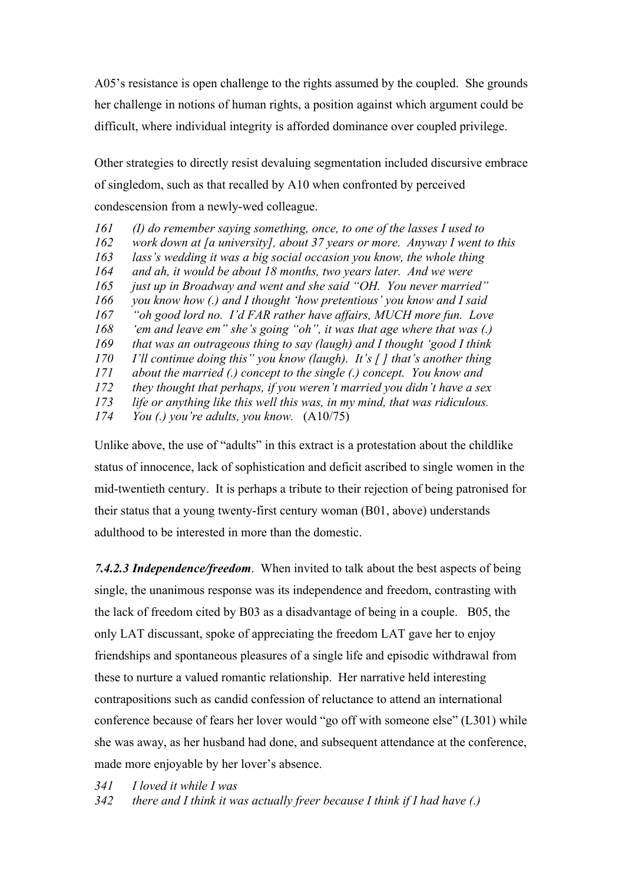A05's resistance is open challenge to the rights assumed by the coupled. She grounds her challenge in notions of human rights, a position against which argument could be difficult, where individual integrity is afforded dominance over coupled privilege.

Other strategies to directly resist devaluing segmentation included discursive embrace of singledom, such as that recalled by A10 when confronted by perceived condescension from a newly-wed colleague.

 *(I) do remember saying something, once, to one of the lasses I used to work down at [a university], about 37 years or more. Anyway I went to this lass's wedding it was a big social occasion you know, the whole thing and ah, it would be about 18 months, two years later. And we were just up in Broadway and went and she said "OH. You never married" you know how (.) and I thought 'how pretentious' you know and I said "oh good lord no. I'd FAR rather have affairs, MUCH more fun. Love 'em and leave em" she's going "oh", it was that age where that was (.) that was an outrageous thing to say (laugh) and I thought 'good I think I'll continue doing this" you know (laugh). It's [ ] that's another thing about the married (.) concept to the single (.) concept. You know and they thought that perhaps, if you weren't married you didn't have a sex life or anything like this well this was, in my mind, that was ridiculous. You (.) you're adults, you know.* (A10/75)

Unlike above, the use of "adults" in this extract is a protestation about the childlike status of innocence, lack of sophistication and deficit ascribed to single women in the mid-twentieth century. It is perhaps a tribute to their rejection of being patronised for their status that a young twenty-first century woman (B01, above) understands adulthood to be interested in more than the domestic.

*7.4.2.3 Independence/freedom*. When invited to talk about the best aspects of being single, the unanimous response was its independence and freedom, contrasting with the lack of freedom cited by B03 as a disadvantage of being in a couple. B05, the only LAT discussant, spoke of appreciating the freedom LAT gave her to enjoy friendships and spontaneous pleasures of a single life and episodic withdrawal from these to nurture a valued romantic relationship. Her narrative held interesting contrapositions such as candid confession of reluctance to attend an international conference because of fears her lover would "go off with someone else" (L301) while she was away, as her husband had done, and subsequent attendance at the conference, made more enjoyable by her lover's absence.

*341 I loved it while I was* 

*342 there and I think it was actually freer because I think if I had have (.)*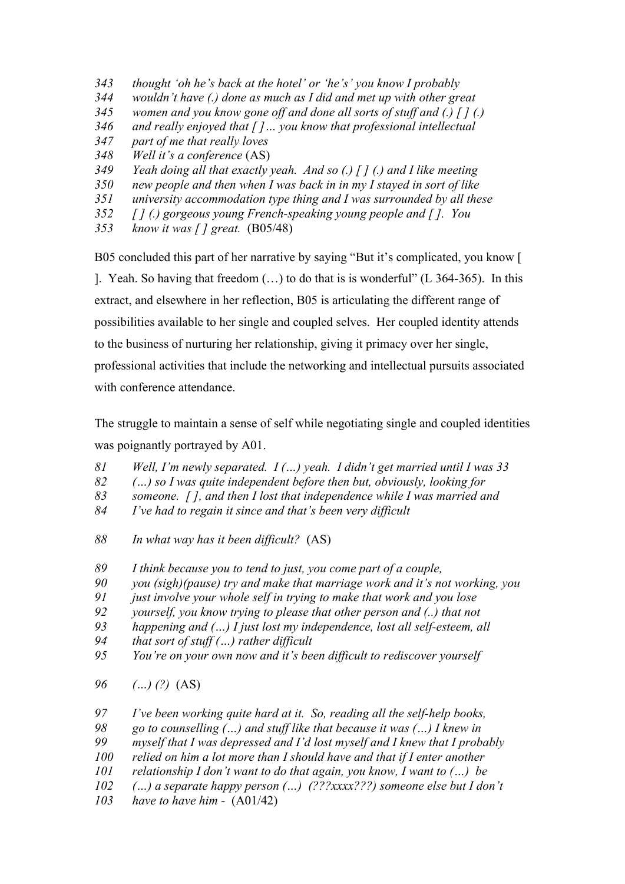- *thought 'oh he's back at the hotel' or 'he's' you know I probably wouldn't have (.) done as much as I did and met up with other great women and you know gone off and done all sorts of stuff and (.) [ ] (.) and really enjoyed that [ ]… you know that professional intellectual part of me that really loves Well it's a conference* (AS) *Yeah doing all that exactly yeah. And so (.) [ ] (.) and I like meeting new people and then when I was back in in my I stayed in sort of like university accommodation type thing and I was surrounded by all these*
- *[ ] (.) gorgeous young French-speaking young people and [ ]. You*
- *know it was [ ] great.* (B05/48)

B05 concluded this part of her narrative by saying "But it's complicated, you know [

]. Yeah. So having that freedom (…) to do that is is wonderful" (L 364-365). In this extract, and elsewhere in her reflection, B05 is articulating the different range of possibilities available to her single and coupled selves. Her coupled identity attends to the business of nurturing her relationship, giving it primacy over her single, professional activities that include the networking and intellectual pursuits associated with conference attendance

The struggle to maintain a sense of self while negotiating single and coupled identities was poignantly portrayed by A01.

- *Well, I'm newly separated. I (…) yeah. I didn't get married until I was 33*
- *(…) so I was quite independent before then but, obviously, looking for*
- *someone. [ ], and then I lost that independence while I was married and*
- *I've had to regain it since and that's been very difficult*
- *In what way has it been difficult?* (AS)
- *I think because you to tend to just, you come part of a couple,*
- *you (sigh)(pause) try and make that marriage work and it's not working, you*
- *just involve your whole self in trying to make that work and you lose*
- *yourself, you know trying to please that other person and (..) that not*
- *happening and (…) I just lost my independence, lost all self-esteem, all*
- *that sort of stuff (…) rather difficult*
- *You're on your own now and it's been difficult to rediscover yourself*
- *(…) (?)* (AS)
- *I've been working quite hard at it. So, reading all the self-help books,*
- *go to counselling (…) and stuff like that because it was (…) I knew in*
- *myself that I was depressed and I'd lost myself and I knew that I probably*
- *relied on him a lot more than I should have and that if I enter another*
- *relationship I don't want to do that again, you know, I want to (…) be*
- *(…) a separate happy person (…) (???xxxx???) someone else but I don't*
- *have to have him* (A01/42)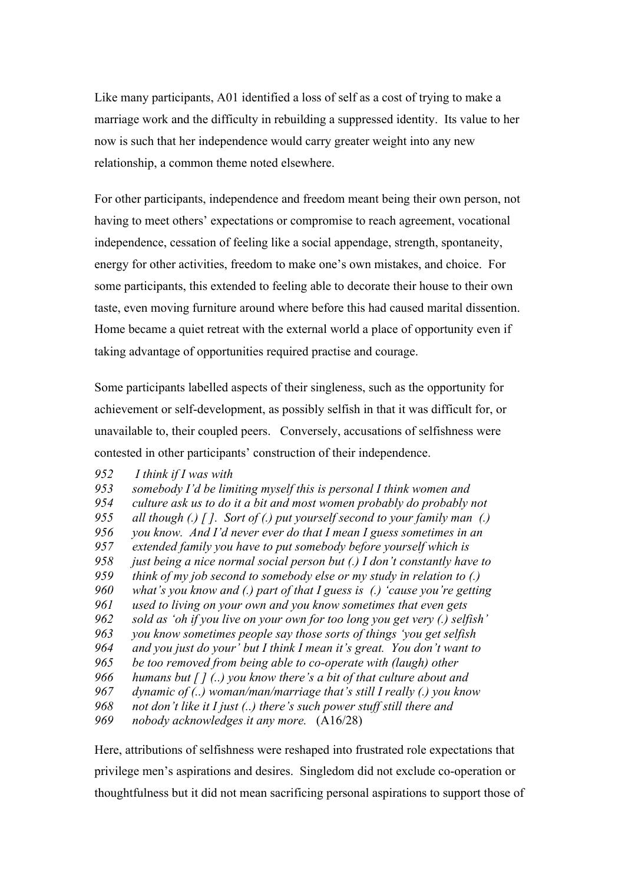Like many participants, A01 identified a loss of self as a cost of trying to make a marriage work and the difficulty in rebuilding a suppressed identity. Its value to her now is such that her independence would carry greater weight into any new relationship, a common theme noted elsewhere.

For other participants, independence and freedom meant being their own person, not having to meet others' expectations or compromise to reach agreement, vocational independence, cessation of feeling like a social appendage, strength, spontaneity, energy for other activities, freedom to make one's own mistakes, and choice. For some participants, this extended to feeling able to decorate their house to their own taste, even moving furniture around where before this had caused marital dissention. Home became a quiet retreat with the external world a place of opportunity even if taking advantage of opportunities required practise and courage.

Some participants labelled aspects of their singleness, such as the opportunity for achievement or self-development, as possibly selfish in that it was difficult for, or unavailable to, their coupled peers. Conversely, accusations of selfishness were contested in other participants' construction of their independence.

*952 I think if I was with* 

 *somebody I'd be limiting myself this is personal I think women and culture ask us to do it a bit and most women probably do probably not all though (.) [ ]. Sort of (.) put yourself second to your family man (.) you know. And I'd never ever do that I mean I guess sometimes in an extended family you have to put somebody before yourself which is just being a nice normal social person but (.) I don't constantly have to think of my job second to somebody else or my study in relation to (.) what's you know and (.) part of that I guess is (.) 'cause you're getting used to living on your own and you know sometimes that even gets sold as 'oh if you live on your own for too long you get very (.) selfish' you know sometimes people say those sorts of things 'you get selfish and you just do your' but I think I mean it's great. You don't want to be too removed from being able to co-operate with (laugh) other humans but [ ] (..) you know there's a bit of that culture about and dynamic of (..) woman/man/marriage that's still I really (.) you know not don't like it I just (..) there's such power stuff still there and nobody acknowledges it any more.* (A16/28)

Here, attributions of selfishness were reshaped into frustrated role expectations that privilege men's aspirations and desires. Singledom did not exclude co-operation or thoughtfulness but it did not mean sacrificing personal aspirations to support those of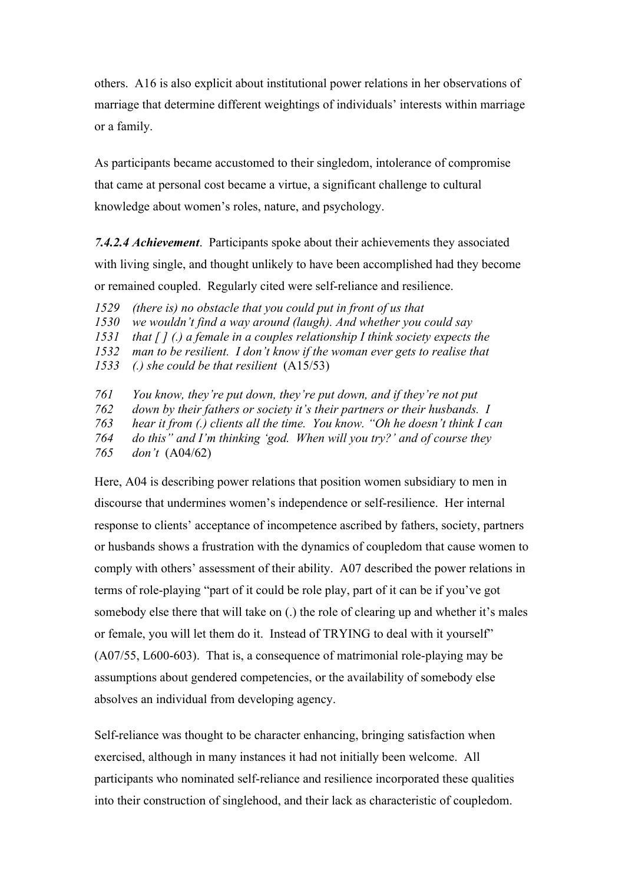others. A16 is also explicit about institutional power relations in her observations of marriage that determine different weightings of individuals' interests within marriage or a family.

As participants became accustomed to their singledom, intolerance of compromise that came at personal cost became a virtue, a significant challenge to cultural knowledge about women's roles, nature, and psychology.

*7.4.2.4 Achievement*. Participants spoke about their achievements they associated with living single, and thought unlikely to have been accomplished had they become or remained coupled. Regularly cited were self-reliance and resilience.

- *1529 (there is) no obstacle that you could put in front of us that*
- *1530 we wouldn't find a way around (laugh). And whether you could say*
- *1531 that [ ] (.) a female in a couples relationship I think society expects the*
- *1532 man to be resilient. I don't know if the woman ever gets to realise that*
- *1533 (.) she could be that resilient* (A15/53)
- *761 You know, they're put down, they're put down, and if they're not put*
- *762 down by their fathers or society it's their partners or their husbands. I*
- *763 hear it from (.) clients all the time. You know. "Oh he doesn't think I can*
- *764 do this" and I'm thinking 'god. When will you try?' and of course they*

*765 don't* (A04/62)

Here, A04 is describing power relations that position women subsidiary to men in discourse that undermines women's independence or self-resilience. Her internal response to clients' acceptance of incompetence ascribed by fathers, society, partners or husbands shows a frustration with the dynamics of coupledom that cause women to comply with others' assessment of their ability. A07 described the power relations in terms of role-playing "part of it could be role play, part of it can be if you've got somebody else there that will take on (.) the role of clearing up and whether it's males or female, you will let them do it. Instead of TRYING to deal with it yourself" (A07/55, L600-603). That is, a consequence of matrimonial role-playing may be assumptions about gendered competencies, or the availability of somebody else absolves an individual from developing agency.

Self-reliance was thought to be character enhancing, bringing satisfaction when exercised, although in many instances it had not initially been welcome. All participants who nominated self-reliance and resilience incorporated these qualities into their construction of singlehood, and their lack as characteristic of coupledom.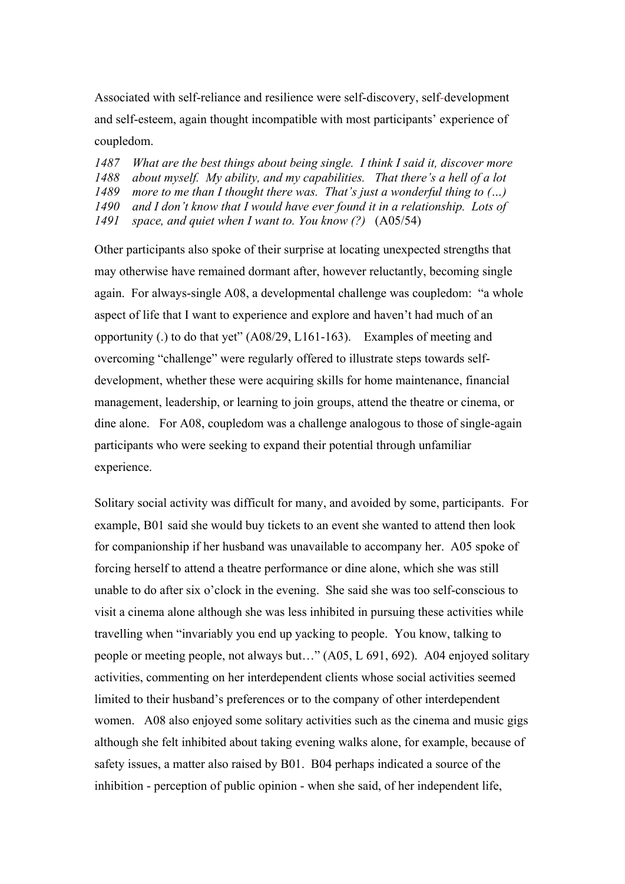Associated with self-reliance and resilience were self-discovery, self-development and self-esteem, again thought incompatible with most participants' experience of coupledom.

 *What are the best things about being single. I think I said it, discover more about myself. My ability, and my capabilities. That there's a hell of a lot more to me than I thought there was. That's just a wonderful thing to (…) and I don't know that I would have ever found it in a relationship. Lots of space, and quiet when I want to. You know (?)* (A05/54)

Other participants also spoke of their surprise at locating unexpected strengths that may otherwise have remained dormant after, however reluctantly, becoming single again. For always-single A08, a developmental challenge was coupledom: "a whole aspect of life that I want to experience and explore and haven't had much of an opportunity (.) to do that yet" (A08/29, L161-163). Examples of meeting and overcoming "challenge" were regularly offered to illustrate steps towards selfdevelopment, whether these were acquiring skills for home maintenance, financial management, leadership, or learning to join groups, attend the theatre or cinema, or dine alone. For A08, coupledom was a challenge analogous to those of single-again participants who were seeking to expand their potential through unfamiliar experience.

Solitary social activity was difficult for many, and avoided by some, participants. For example, B01 said she would buy tickets to an event she wanted to attend then look for companionship if her husband was unavailable to accompany her. A05 spoke of forcing herself to attend a theatre performance or dine alone, which she was still unable to do after six o'clock in the evening. She said she was too self-conscious to visit a cinema alone although she was less inhibited in pursuing these activities while travelling when "invariably you end up yacking to people. You know, talking to people or meeting people, not always but…" (A05, L 691, 692). A04 enjoyed solitary activities, commenting on her interdependent clients whose social activities seemed limited to their husband's preferences or to the company of other interdependent women. A08 also enjoyed some solitary activities such as the cinema and music gigs although she felt inhibited about taking evening walks alone, for example, because of safety issues, a matter also raised by B01. B04 perhaps indicated a source of the inhibition - perception of public opinion - when she said, of her independent life,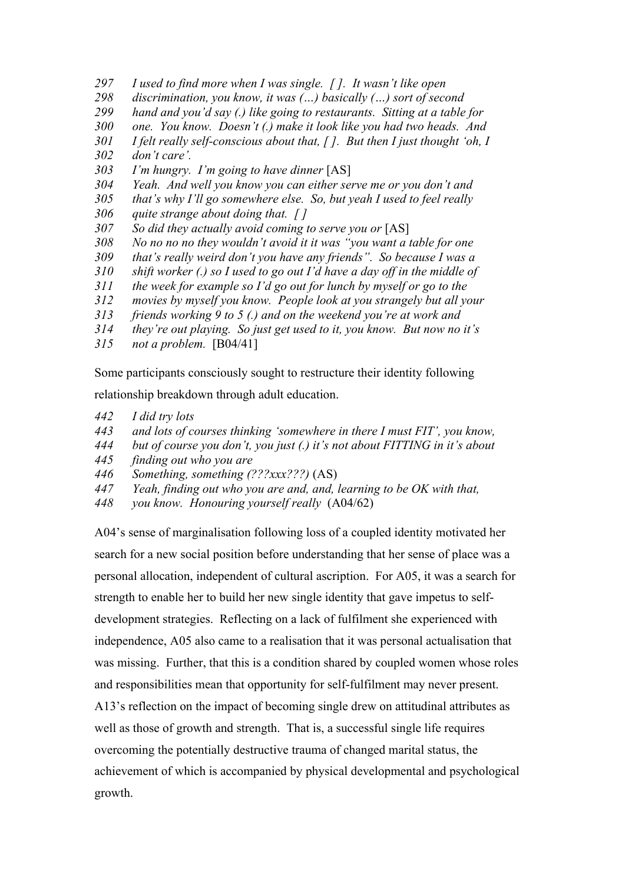- *I used to find more when I was single. [ ]. It wasn't like open*
- *discrimination, you know, it was (…) basically (…) sort of second*
- *hand and you'd say (.) like going to restaurants. Sitting at a table for*
- *one. You know. Doesn't (.) make it look like you had two heads. And*
- *I felt really self-conscious about that, [ ]. But then I just thought 'oh, I*
- *don't care'.*
- *I'm hungry. I'm going to have dinner* [AS]
- *Yeah. And well you know you can either serve me or you don't and*
- *that's why I'll go somewhere else. So, but yeah I used to feel really*
- *quite strange about doing that. [ ]*
- *So did they actually avoid coming to serve you or* [AS]
- *No no no no they wouldn't avoid it it was "you want a table for one*
- *that's really weird don't you have any friends". So because I was a*
- *shift worker (.) so I used to go out I'd have a day off in the middle of*
- *the week for example so I'd go out for lunch by myself or go to the*
- *movies by myself you know. People look at you strangely but all your*
- *friends working 9 to 5 (.) and on the weekend you're at work and*
- *they're out playing. So just get used to it, you know. But now no it's*
- *not a problem.* [B04/41]

Some participants consciously sought to restructure their identity following

relationship breakdown through adult education.

- *I did try lots*
- *and lots of courses thinking 'somewhere in there I must FIT', you know,*
- *but of course you don't, you just (.) it's not about FITTING in it's about*
- *finding out who you are*
- *Something, something (???xxx???)* (AS)
- *Yeah, finding out who you are and, and, learning to be OK with that,*
- *you know. Honouring yourself really* (A04/62)

A04's sense of marginalisation following loss of a coupled identity motivated her search for a new social position before understanding that her sense of place was a personal allocation, independent of cultural ascription. For A05, it was a search for strength to enable her to build her new single identity that gave impetus to selfdevelopment strategies. Reflecting on a lack of fulfilment she experienced with independence, A05 also came to a realisation that it was personal actualisation that was missing. Further, that this is a condition shared by coupled women whose roles and responsibilities mean that opportunity for self-fulfilment may never present. A13's reflection on the impact of becoming single drew on attitudinal attributes as well as those of growth and strength. That is, a successful single life requires overcoming the potentially destructive trauma of changed marital status, the achievement of which is accompanied by physical developmental and psychological growth.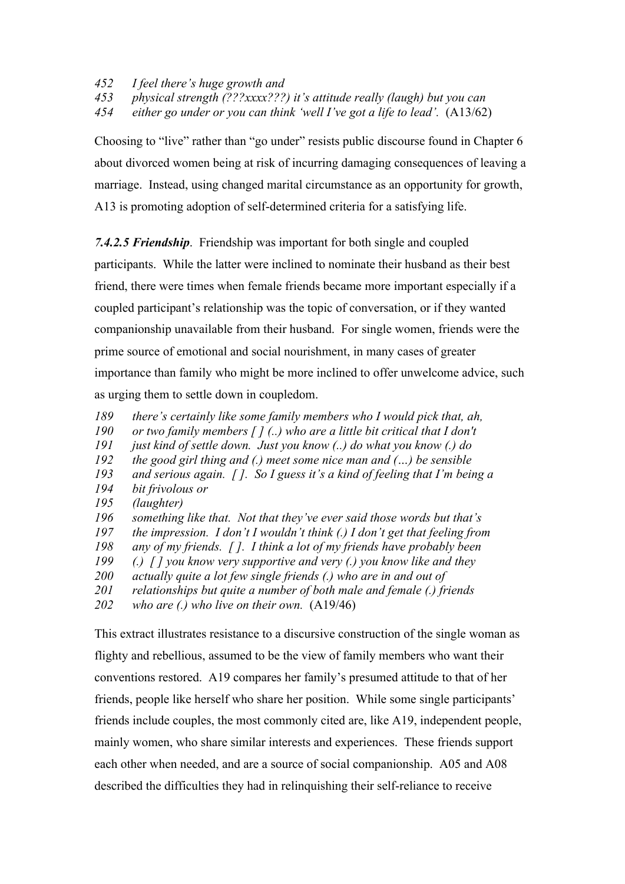- *452 I feel there's huge growth and*
- *453 physical strength (???xxxx???) it's attitude really (laugh) but you can*

*454 either go under or you can think 'well I've got a life to lead'.* (A13/62)

Choosing to "live" rather than "go under" resists public discourse found in Chapter 6 about divorced women being at risk of incurring damaging consequences of leaving a marriage. Instead, using changed marital circumstance as an opportunity for growth, A13 is promoting adoption of self-determined criteria for a satisfying life.

*7.4.2.5 Friendship*. Friendship was important for both single and coupled

participants. While the latter were inclined to nominate their husband as their best friend, there were times when female friends became more important especially if a coupled participant's relationship was the topic of conversation, or if they wanted companionship unavailable from their husband. For single women, friends were the prime source of emotional and social nourishment, in many cases of greater importance than family who might be more inclined to offer unwelcome advice, such as urging them to settle down in coupledom.

- *189 there's certainly like some family members who I would pick that, ah,*
- *190 or two family members [ ] (..) who are a little bit critical that I don't*
- *191 just kind of settle down. Just you know (..) do what you know (.) do*
- *192 the good girl thing and (.) meet some nice man and (…) be sensible*
- *193 and serious again. [ ]. So I guess it's a kind of feeling that I'm being a*
- *194 bit frivolous or*
- *195 (laughter)*
- *196 something like that. Not that they've ever said those words but that's*
- *197 the impression. I don't I wouldn't think (.) I don't get that feeling from*
- *198 any of my friends. [ ]. I think a lot of my friends have probably been*
- *199 (.) [ ] you know very supportive and very (.) you know like and they*
- *200 actually quite a lot few single friends (.) who are in and out of*
- *201 relationships but quite a number of both male and female (.) friends*
- *202 who are (.) who live on their own.* (A19/46)

This extract illustrates resistance to a discursive construction of the single woman as flighty and rebellious, assumed to be the view of family members who want their conventions restored. A19 compares her family's presumed attitude to that of her friends, people like herself who share her position. While some single participants' friends include couples, the most commonly cited are, like A19, independent people, mainly women, who share similar interests and experiences. These friends support each other when needed, and are a source of social companionship. A05 and A08 described the difficulties they had in relinquishing their self-reliance to receive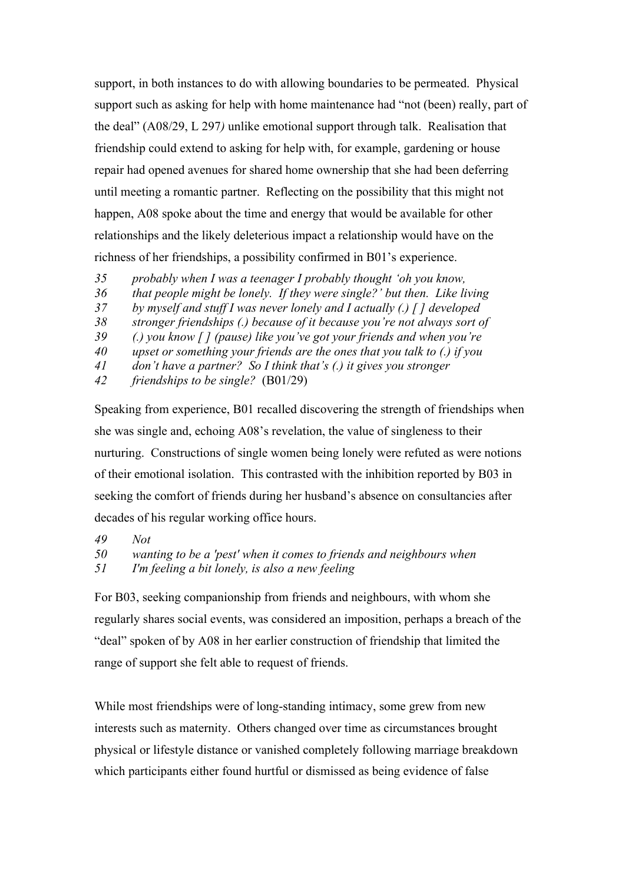support, in both instances to do with allowing boundaries to be permeated. Physical support such as asking for help with home maintenance had "not (been) really, part of the deal" (A08/29, L 297*)* unlike emotional support through talk. Realisation that friendship could extend to asking for help with, for example, gardening or house repair had opened avenues for shared home ownership that she had been deferring until meeting a romantic partner. Reflecting on the possibility that this might not happen, A08 spoke about the time and energy that would be available for other relationships and the likely deleterious impact a relationship would have on the richness of her friendships, a possibility confirmed in B01's experience.

- *35 probably when I was a teenager I probably thought 'oh you know,*
- *36 that people might be lonely. If they were single?' but then. Like living*
- *37 by myself and stuff I was never lonely and I actually (.) [ ] developed*
- *38 stronger friendships (.) because of it because you're not always sort of*
- *39 (.) you know [ ] (pause) like you've got your friends and when you're*
- *40 upset or something your friends are the ones that you talk to (.) if you*
- *41 don't have a partner? So I think that's (.) it gives you stronger*
- *42 friendships to be single?* (B01/29)

Speaking from experience, B01 recalled discovering the strength of friendships when she was single and, echoing A08's revelation, the value of singleness to their nurturing. Constructions of single women being lonely were refuted as were notions of their emotional isolation. This contrasted with the inhibition reported by B03 in seeking the comfort of friends during her husband's absence on consultancies after decades of his regular working office hours.

- *49 Not*
- *50 wanting to be a 'pest' when it comes to friends and neighbours when*
- *51 I'm feeling a bit lonely, is also a new feeling*

For B03, seeking companionship from friends and neighbours, with whom she regularly shares social events, was considered an imposition, perhaps a breach of the "deal" spoken of by A08 in her earlier construction of friendship that limited the range of support she felt able to request of friends.

While most friendships were of long-standing intimacy, some grew from new interests such as maternity. Others changed over time as circumstances brought physical or lifestyle distance or vanished completely following marriage breakdown which participants either found hurtful or dismissed as being evidence of false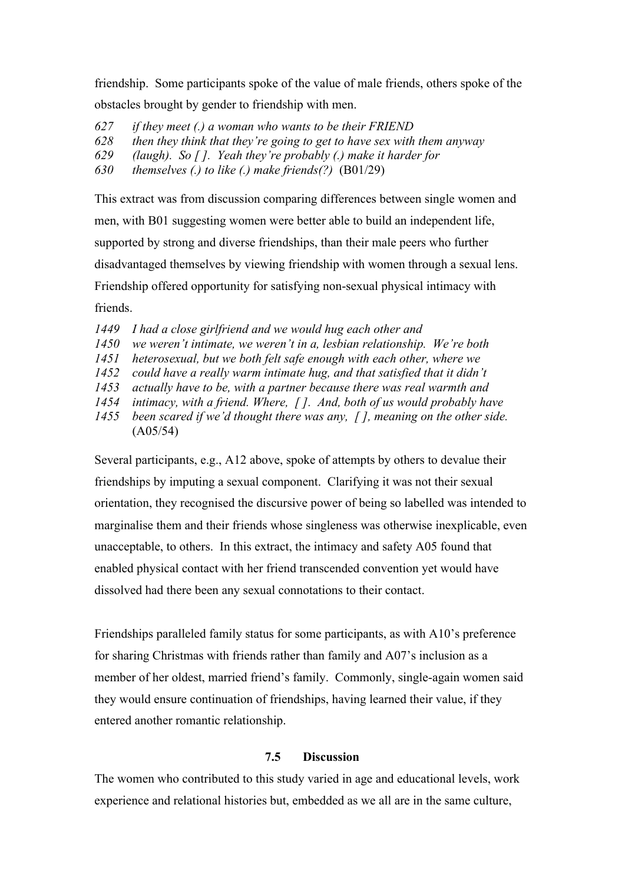friendship. Some participants spoke of the value of male friends, others spoke of the obstacles brought by gender to friendship with men.

*627 if they meet (.) a woman who wants to be their FRIEND 628 then they think that they're going to get to have sex with them anyway* 

*629 (laugh). So [ ]. Yeah they're probably (.) make it harder for* 

*630 themselves (.) to like (.) make friends(?)* (B01/29)

This extract was from discussion comparing differences between single women and men, with B01 suggesting women were better able to build an independent life, supported by strong and diverse friendships, than their male peers who further disadvantaged themselves by viewing friendship with women through a sexual lens. Friendship offered opportunity for satisfying non-sexual physical intimacy with friends.

- *1449 I had a close girlfriend and we would hug each other and*
- *1450 we weren't intimate, we weren't in a, lesbian relationship. We're both*
- *1451 heterosexual, but we both felt safe enough with each other, where we*
- *1452 could have a really warm intimate hug, and that satisfied that it didn't*
- *1453 actually have to be, with a partner because there was real warmth and*
- *1454 intimacy, with a friend. Where, [ ]. And, both of us would probably have*
- *1455 been scared if we'd thought there was any, [ ], meaning on the other side.*  (A05/54)

Several participants, e.g., A12 above, spoke of attempts by others to devalue their friendships by imputing a sexual component. Clarifying it was not their sexual orientation, they recognised the discursive power of being so labelled was intended to marginalise them and their friends whose singleness was otherwise inexplicable, even unacceptable, to others. In this extract, the intimacy and safety A05 found that enabled physical contact with her friend transcended convention yet would have dissolved had there been any sexual connotations to their contact.

Friendships paralleled family status for some participants, as with A10's preference for sharing Christmas with friends rather than family and A07's inclusion as a member of her oldest, married friend's family. Commonly, single-again women said they would ensure continuation of friendships, having learned their value, if they entered another romantic relationship.

## **7.5 Discussion**

The women who contributed to this study varied in age and educational levels, work experience and relational histories but, embedded as we all are in the same culture,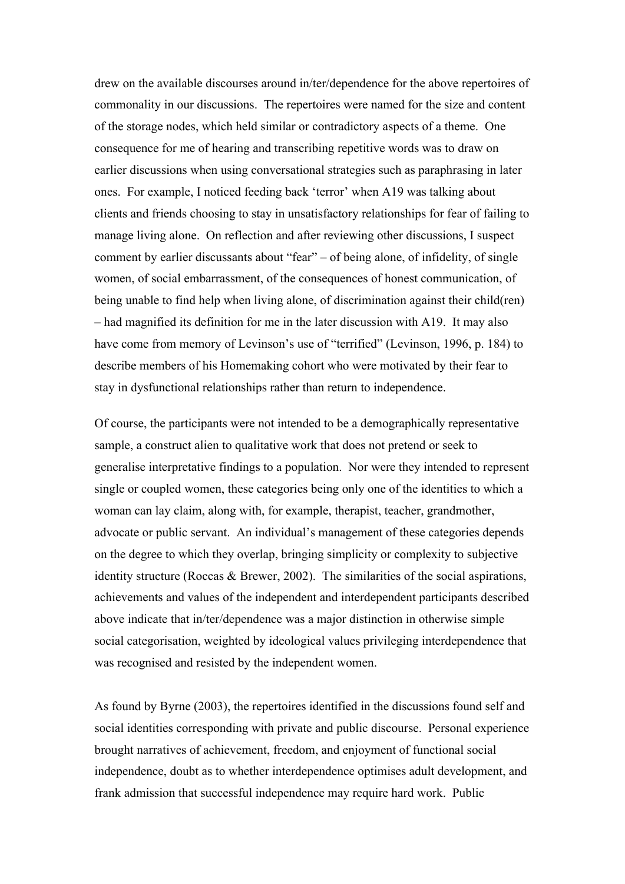drew on the available discourses around in/ter/dependence for the above repertoires of commonality in our discussions. The repertoires were named for the size and content of the storage nodes, which held similar or contradictory aspects of a theme. One consequence for me of hearing and transcribing repetitive words was to draw on earlier discussions when using conversational strategies such as paraphrasing in later ones. For example, I noticed feeding back 'terror' when A19 was talking about clients and friends choosing to stay in unsatisfactory relationships for fear of failing to manage living alone. On reflection and after reviewing other discussions, I suspect comment by earlier discussants about "fear" – of being alone, of infidelity, of single women, of social embarrassment, of the consequences of honest communication, of being unable to find help when living alone, of discrimination against their child(ren) – had magnified its definition for me in the later discussion with A19. It may also have come from memory of Levinson's use of "terrified" (Levinson, 1996, p. 184) to describe members of his Homemaking cohort who were motivated by their fear to stay in dysfunctional relationships rather than return to independence.

Of course, the participants were not intended to be a demographically representative sample, a construct alien to qualitative work that does not pretend or seek to generalise interpretative findings to a population. Nor were they intended to represent single or coupled women, these categories being only one of the identities to which a woman can lay claim, along with, for example, therapist, teacher, grandmother, advocate or public servant. An individual's management of these categories depends on the degree to which they overlap, bringing simplicity or complexity to subjective identity structure (Roccas & Brewer, 2002). The similarities of the social aspirations, achievements and values of the independent and interdependent participants described above indicate that in/ter/dependence was a major distinction in otherwise simple social categorisation, weighted by ideological values privileging interdependence that was recognised and resisted by the independent women.

As found by Byrne (2003), the repertoires identified in the discussions found self and social identities corresponding with private and public discourse. Personal experience brought narratives of achievement, freedom, and enjoyment of functional social independence, doubt as to whether interdependence optimises adult development, and frank admission that successful independence may require hard work. Public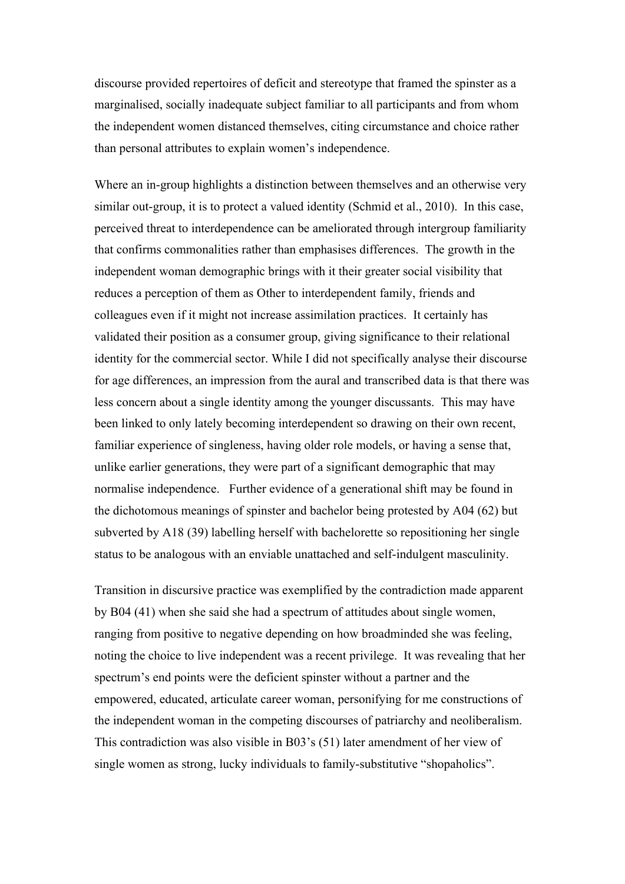discourse provided repertoires of deficit and stereotype that framed the spinster as a marginalised, socially inadequate subject familiar to all participants and from whom the independent women distanced themselves, citing circumstance and choice rather than personal attributes to explain women's independence.

Where an in-group highlights a distinction between themselves and an otherwise very similar out-group, it is to protect a valued identity (Schmid et al., 2010). In this case, perceived threat to interdependence can be ameliorated through intergroup familiarity that confirms commonalities rather than emphasises differences. The growth in the independent woman demographic brings with it their greater social visibility that reduces a perception of them as Other to interdependent family, friends and colleagues even if it might not increase assimilation practices. It certainly has validated their position as a consumer group, giving significance to their relational identity for the commercial sector. While I did not specifically analyse their discourse for age differences, an impression from the aural and transcribed data is that there was less concern about a single identity among the younger discussants. This may have been linked to only lately becoming interdependent so drawing on their own recent, familiar experience of singleness, having older role models, or having a sense that, unlike earlier generations, they were part of a significant demographic that may normalise independence. Further evidence of a generational shift may be found in the dichotomous meanings of spinster and bachelor being protested by A04 (62) but subverted by A18 (39) labelling herself with bachelorette so repositioning her single status to be analogous with an enviable unattached and self-indulgent masculinity.

Transition in discursive practice was exemplified by the contradiction made apparent by B04 (41) when she said she had a spectrum of attitudes about single women, ranging from positive to negative depending on how broadminded she was feeling, noting the choice to live independent was a recent privilege. It was revealing that her spectrum's end points were the deficient spinster without a partner and the empowered, educated, articulate career woman, personifying for me constructions of the independent woman in the competing discourses of patriarchy and neoliberalism. This contradiction was also visible in B03's (51) later amendment of her view of single women as strong, lucky individuals to family-substitutive "shopaholics".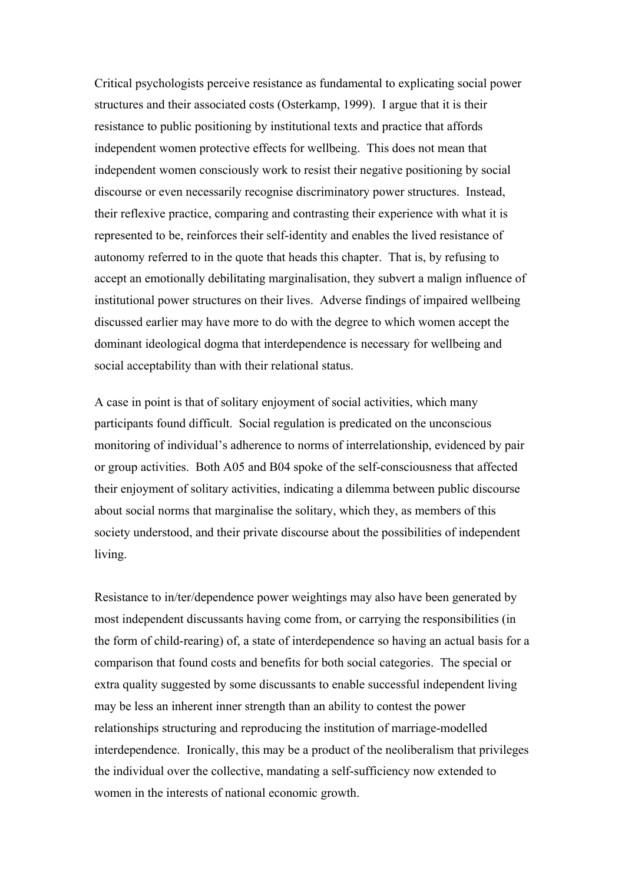Critical psychologists perceive resistance as fundamental to explicating social power structures and their associated costs (Osterkamp, 1999). I argue that it is their resistance to public positioning by institutional texts and practice that affords independent women protective effects for wellbeing. This does not mean that independent women consciously work to resist their negative positioning by social discourse or even necessarily recognise discriminatory power structures. Instead, their reflexive practice, comparing and contrasting their experience with what it is represented to be, reinforces their self-identity and enables the lived resistance of autonomy referred to in the quote that heads this chapter. That is, by refusing to accept an emotionally debilitating marginalisation, they subvert a malign influence of institutional power structures on their lives. Adverse findings of impaired wellbeing discussed earlier may have more to do with the degree to which women accept the dominant ideological dogma that interdependence is necessary for wellbeing and social acceptability than with their relational status.

A case in point is that of solitary enjoyment of social activities, which many participants found difficult. Social regulation is predicated on the unconscious monitoring of individual's adherence to norms of interrelationship, evidenced by pair or group activities. Both A05 and B04 spoke of the self-consciousness that affected their enjoyment of solitary activities, indicating a dilemma between public discourse about social norms that marginalise the solitary, which they, as members of this society understood, and their private discourse about the possibilities of independent living.

Resistance to in/ter/dependence power weightings may also have been generated by most independent discussants having come from, or carrying the responsibilities (in the form of child-rearing) of, a state of interdependence so having an actual basis for a comparison that found costs and benefits for both social categories. The special or extra quality suggested by some discussants to enable successful independent living may be less an inherent inner strength than an ability to contest the power relationships structuring and reproducing the institution of marriage-modelled interdependence. Ironically, this may be a product of the neoliberalism that privileges the individual over the collective, mandating a self-sufficiency now extended to women in the interests of national economic growth.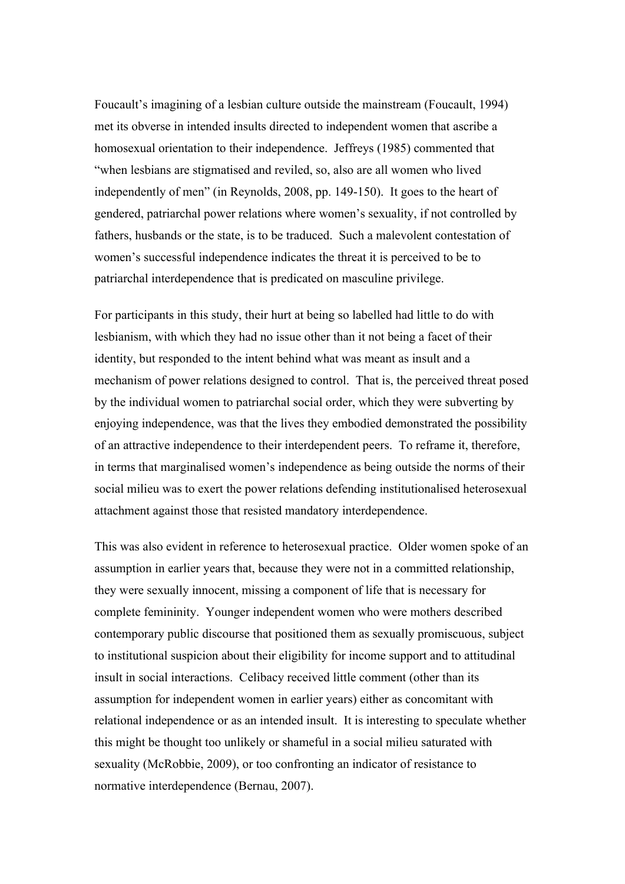Foucault's imagining of a lesbian culture outside the mainstream (Foucault, 1994) met its obverse in intended insults directed to independent women that ascribe a homosexual orientation to their independence. Jeffreys (1985) commented that "when lesbians are stigmatised and reviled, so, also are all women who lived independently of men" (in Reynolds, 2008, pp. 149-150). It goes to the heart of gendered, patriarchal power relations where women's sexuality, if not controlled by fathers, husbands or the state, is to be traduced. Such a malevolent contestation of women's successful independence indicates the threat it is perceived to be to patriarchal interdependence that is predicated on masculine privilege.

For participants in this study, their hurt at being so labelled had little to do with lesbianism, with which they had no issue other than it not being a facet of their identity, but responded to the intent behind what was meant as insult and a mechanism of power relations designed to control. That is, the perceived threat posed by the individual women to patriarchal social order, which they were subverting by enjoying independence, was that the lives they embodied demonstrated the possibility of an attractive independence to their interdependent peers. To reframe it, therefore, in terms that marginalised women's independence as being outside the norms of their social milieu was to exert the power relations defending institutionalised heterosexual attachment against those that resisted mandatory interdependence.

This was also evident in reference to heterosexual practice. Older women spoke of an assumption in earlier years that, because they were not in a committed relationship, they were sexually innocent, missing a component of life that is necessary for complete femininity. Younger independent women who were mothers described contemporary public discourse that positioned them as sexually promiscuous, subject to institutional suspicion about their eligibility for income support and to attitudinal insult in social interactions. Celibacy received little comment (other than its assumption for independent women in earlier years) either as concomitant with relational independence or as an intended insult. It is interesting to speculate whether this might be thought too unlikely or shameful in a social milieu saturated with sexuality (McRobbie, 2009), or too confronting an indicator of resistance to normative interdependence (Bernau, 2007).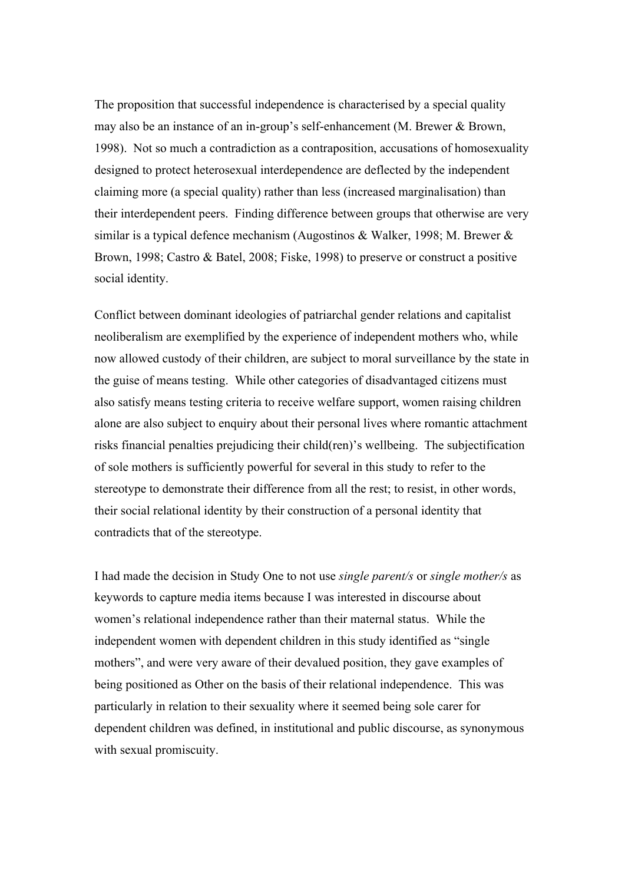The proposition that successful independence is characterised by a special quality may also be an instance of an in-group's self-enhancement (M. Brewer & Brown, 1998). Not so much a contradiction as a contraposition, accusations of homosexuality designed to protect heterosexual interdependence are deflected by the independent claiming more (a special quality) rather than less (increased marginalisation) than their interdependent peers. Finding difference between groups that otherwise are very similar is a typical defence mechanism (Augostinos & Walker, 1998; M. Brewer & Brown, 1998; Castro & Batel, 2008; Fiske, 1998) to preserve or construct a positive social identity.

Conflict between dominant ideologies of patriarchal gender relations and capitalist neoliberalism are exemplified by the experience of independent mothers who, while now allowed custody of their children, are subject to moral surveillance by the state in the guise of means testing. While other categories of disadvantaged citizens must also satisfy means testing criteria to receive welfare support, women raising children alone are also subject to enquiry about their personal lives where romantic attachment risks financial penalties prejudicing their child(ren)'s wellbeing. The subjectification of sole mothers is sufficiently powerful for several in this study to refer to the stereotype to demonstrate their difference from all the rest; to resist, in other words, their social relational identity by their construction of a personal identity that contradicts that of the stereotype.

I had made the decision in Study One to not use *single parent/s* or *single mother/s* as keywords to capture media items because I was interested in discourse about women's relational independence rather than their maternal status. While the independent women with dependent children in this study identified as "single mothers", and were very aware of their devalued position, they gave examples of being positioned as Other on the basis of their relational independence. This was particularly in relation to their sexuality where it seemed being sole carer for dependent children was defined, in institutional and public discourse, as synonymous with sexual promiscuity.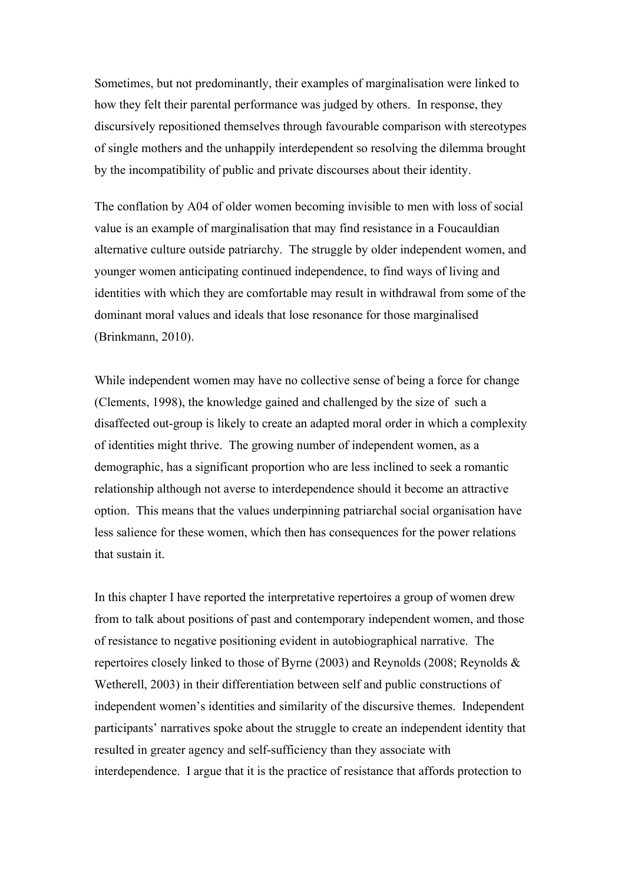Sometimes, but not predominantly, their examples of marginalisation were linked to how they felt their parental performance was judged by others. In response, they discursively repositioned themselves through favourable comparison with stereotypes of single mothers and the unhappily interdependent so resolving the dilemma brought by the incompatibility of public and private discourses about their identity.

The conflation by A04 of older women becoming invisible to men with loss of social value is an example of marginalisation that may find resistance in a Foucauldian alternative culture outside patriarchy. The struggle by older independent women, and younger women anticipating continued independence, to find ways of living and identities with which they are comfortable may result in withdrawal from some of the dominant moral values and ideals that lose resonance for those marginalised (Brinkmann, 2010).

While independent women may have no collective sense of being a force for change (Clements, 1998), the knowledge gained and challenged by the size of such a disaffected out-group is likely to create an adapted moral order in which a complexity of identities might thrive. The growing number of independent women, as a demographic, has a significant proportion who are less inclined to seek a romantic relationship although not averse to interdependence should it become an attractive option. This means that the values underpinning patriarchal social organisation have less salience for these women, which then has consequences for the power relations that sustain it.

In this chapter I have reported the interpretative repertoires a group of women drew from to talk about positions of past and contemporary independent women, and those of resistance to negative positioning evident in autobiographical narrative. The repertoires closely linked to those of Byrne (2003) and Reynolds (2008; Reynolds & Wetherell, 2003) in their differentiation between self and public constructions of independent women's identities and similarity of the discursive themes. Independent participants' narratives spoke about the struggle to create an independent identity that resulted in greater agency and self-sufficiency than they associate with interdependence. I argue that it is the practice of resistance that affords protection to